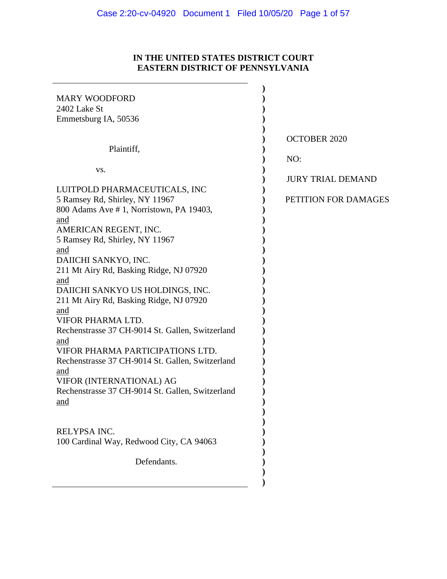# **IN THE UNITED STATES DISTRICT COURT EASTERN DISTRICT OF PENNSYLVANIA**

 $\mathcal{L}(\mathcal{L})$ 

| <b>MARY WOODFORD</b>                             |                          |
|--------------------------------------------------|--------------------------|
| 2402 Lake St                                     |                          |
| Emmetsburg IA, 50536                             |                          |
|                                                  |                          |
|                                                  | <b>OCTOBER 2020</b>      |
| Plaintiff,                                       |                          |
|                                                  | NO:                      |
| VS.                                              |                          |
|                                                  | <b>JURY TRIAL DEMAND</b> |
| LUITPOLD PHARMACEUTICALS, INC                    |                          |
| 5 Ramsey Rd, Shirley, NY 11967                   | PETITION FOR DAMAGES     |
| 800 Adams Ave #1, Norristown, PA 19403,          |                          |
| and                                              |                          |
| AMERICAN REGENT, INC.                            |                          |
| 5 Ramsey Rd, Shirley, NY 11967                   |                          |
| and                                              |                          |
| DAIICHI SANKYO, INC.                             |                          |
| 211 Mt Airy Rd, Basking Ridge, NJ 07920          |                          |
| and                                              |                          |
| DAIICHI SANKYO US HOLDINGS, INC.                 |                          |
|                                                  |                          |
| 211 Mt Airy Rd, Basking Ridge, NJ 07920          |                          |
| and                                              |                          |
| VIFOR PHARMA LTD.                                |                          |
| Rechenstrasse 37 CH-9014 St. Gallen, Switzerland |                          |
| and                                              |                          |
| VIFOR PHARMA PARTICIPATIONS LTD.                 |                          |
| Rechenstrasse 37 CH-9014 St. Gallen, Switzerland |                          |
| and                                              |                          |
| VIFOR (INTERNATIONAL) AG                         |                          |
| Rechenstrasse 37 CH-9014 St. Gallen, Switzerland |                          |
| and                                              |                          |
|                                                  |                          |
|                                                  |                          |
| RELYPSA INC.                                     |                          |
| 100 Cardinal Way, Redwood City, CA 94063         |                          |
|                                                  |                          |
| Defendants.                                      |                          |
|                                                  |                          |
|                                                  |                          |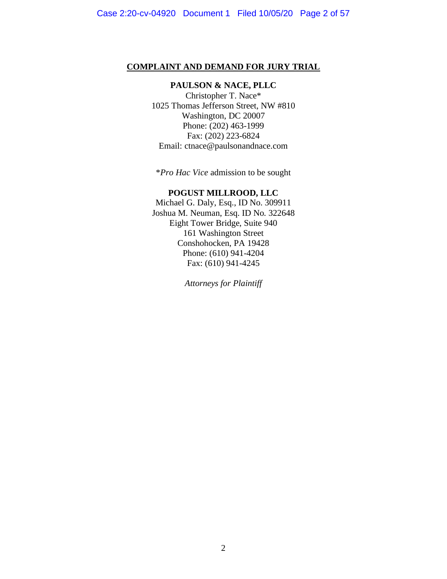#### **COMPLAINT AND DEMAND FOR JURY TRIAL**

# **PAULSON & NACE, PLLC**

Christopher T. Nace\* 1025 Thomas Jefferson Street, NW #810 Washington, DC 20007 Phone: (202) 463-1999 Fax: (202) 223-6824 Email: ctnace@paulsonandnace.com

\**Pro Hac Vice* admission to be sought

#### **POGUST MILLROOD, LLC**

Michael G. Daly, Esq., ID No. 309911 Joshua M. Neuman, Esq. ID No. 322648 Eight Tower Bridge, Suite 940 161 Washington Street Conshohocken, PA 19428 Phone: (610) 941-4204 Fax: (610) 941-4245

*Attorneys for Plaintiff*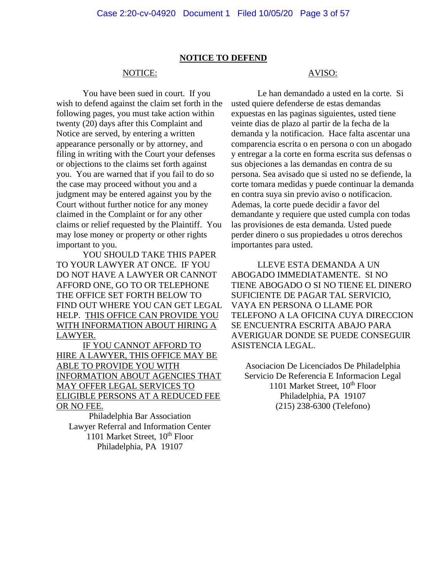#### **NOTICE TO DEFEND**

#### NOTICE:

You have been sued in court. If you wish to defend against the claim set forth in the following pages, you must take action within twenty (20) days after this Complaint and Notice are served, by entering a written appearance personally or by attorney, and filing in writing with the Court your defenses or objections to the claims set forth against you. You are warned that if you fail to do so the case may proceed without you and a judgment may be entered against you by the Court without further notice for any money claimed in the Complaint or for any other claims or relief requested by the Plaintiff. You may lose money or property or other rights important to you.

YOU SHOULD TAKE THIS PAPER TO YOUR LAWYER AT ONCE. IF YOU DO NOT HAVE A LAWYER OR CANNOT AFFORD ONE, GO TO OR TELEPHONE THE OFFICE SET FORTH BELOW TO FIND OUT WHERE YOU CAN GET LEGAL HELP. THIS OFFICE CAN PROVIDE YOU WITH INFORMATION ABOUT HIRING A LAWYER.

IF YOU CANNOT AFFORD TO HIRE A LAWYER, THIS OFFICE MAY BE ABLE TO PROVIDE YOU WITH INFORMATION ABOUT AGENCIES THAT MAY OFFER LEGAL SERVICES TO ELIGIBLE PERSONS AT A REDUCED FEE OR NO FEE.

Philadelphia Bar Association Lawyer Referral and Information Center 1101 Market Street,  $10^{th}$  Floor Philadelphia, PA 19107

### AVISO:

Le han demandado a usted en la corte. Si usted quiere defenderse de estas demandas expuestas en las paginas siguientes, usted tiene veinte dias de plazo al partir de la fecha de la demanda y la notificacion. Hace falta ascentar una comparencia escrita o en persona o con un abogado y entregar a la corte en forma escrita sus defensas o sus objeciones a las demandas en contra de su persona. Sea avisado que si usted no se defiende, la corte tomara medidas y puede continuar la demanda en contra suya sin previo aviso o notificacion. Ademas, la corte puede decidir a favor del demandante y requiere que usted cumpla con todas las provisiones de esta demanda. Usted puede perder dinero o sus propiedades u otros derechos importantes para usted.

LLEVE ESTA DEMANDA A UN ABOGADO IMMEDIATAMENTE. SI NO TIENE ABOGADO O SI NO TIENE EL DINERO SUFICIENTE DE PAGAR TAL SERVICIO, VAYA EN PERSONA O LLAME POR TELEFONO A LA OFICINA CUYA DIRECCION SE ENCUENTRA ESCRITA ABAJO PARA AVERIGUAR DONDE SE PUEDE CONSEGUIR ASISTENCIA LEGAL.

Asociacion De Licenciados De Philadelphia Servicio De Referencia E Informacion Legal 1101 Market Street,  $10^{th}$  Floor Philadelphia, PA 19107 (215) 238-6300 (Telefono)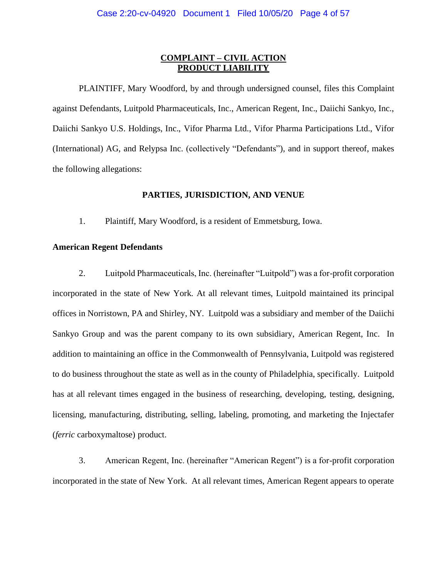#### **COMPLAINT – CIVIL ACTION PRODUCT LIABILITY**

PLAINTIFF, Mary Woodford, by and through undersigned counsel, files this Complaint against Defendants, Luitpold Pharmaceuticals, Inc., American Regent, Inc., Daiichi Sankyo, Inc., Daiichi Sankyo U.S. Holdings, Inc., Vifor Pharma Ltd., Vifor Pharma Participations Ltd., Vifor (International) AG, and Relypsa Inc. (collectively "Defendants"), and in support thereof, makes the following allegations:

#### **PARTIES, JURISDICTION, AND VENUE**

1. Plaintiff, Mary Woodford, is a resident of Emmetsburg, Iowa.

#### **American Regent Defendants**

2. Luitpold Pharmaceuticals, Inc. (hereinafter "Luitpold") was a for-profit corporation incorporated in the state of New York. At all relevant times, Luitpold maintained its principal offices in Norristown, PA and Shirley, NY. Luitpold was a subsidiary and member of the Daiichi Sankyo Group and was the parent company to its own subsidiary, American Regent, Inc. In addition to maintaining an office in the Commonwealth of Pennsylvania, Luitpold was registered to do business throughout the state as well as in the county of Philadelphia, specifically. Luitpold has at all relevant times engaged in the business of researching, developing, testing, designing, licensing, manufacturing, distributing, selling, labeling, promoting, and marketing the Injectafer (*ferric* carboxymaltose) product.

3. American Regent, Inc. (hereinafter "American Regent") is a for-profit corporation incorporated in the state of New York. At all relevant times, American Regent appears to operate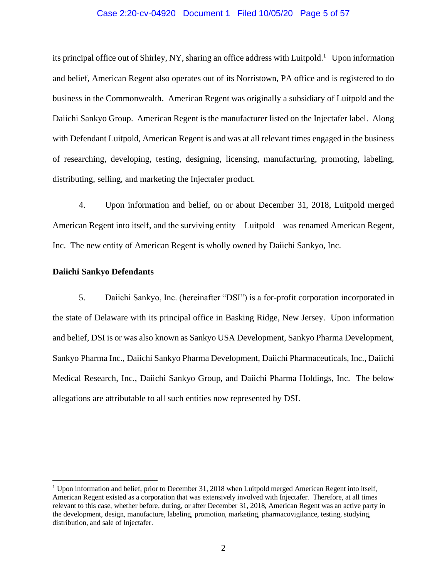#### Case 2:20-cv-04920 Document 1 Filed 10/05/20 Page 5 of 57

its principal office out of Shirley, NY, sharing an office address with Luitpold.<sup>1</sup> Upon information and belief, American Regent also operates out of its Norristown, PA office and is registered to do business in the Commonwealth. American Regent was originally a subsidiary of Luitpold and the Daiichi Sankyo Group. American Regent is the manufacturer listed on the Injectafer label. Along with Defendant Luitpold, American Regent is and was at all relevant times engaged in the business of researching, developing, testing, designing, licensing, manufacturing, promoting, labeling, distributing, selling, and marketing the Injectafer product.

4. Upon information and belief, on or about December 31, 2018, Luitpold merged American Regent into itself, and the surviving entity – Luitpold – was renamed American Regent, Inc. The new entity of American Regent is wholly owned by Daiichi Sankyo, Inc.

#### **Daiichi Sankyo Defendants**

5. Daiichi Sankyo, Inc. (hereinafter "DSI") is a for-profit corporation incorporated in the state of Delaware with its principal office in Basking Ridge, New Jersey. Upon information and belief, DSI is or was also known as Sankyo USA Development, Sankyo Pharma Development, Sankyo Pharma Inc., Daiichi Sankyo Pharma Development, Daiichi Pharmaceuticals, Inc., Daiichi Medical Research, Inc., Daiichi Sankyo Group, and Daiichi Pharma Holdings, Inc. The below allegations are attributable to all such entities now represented by DSI.

<sup>&</sup>lt;sup>1</sup> Upon information and belief, prior to December 31, 2018 when Luitpold merged American Regent into itself, American Regent existed as a corporation that was extensively involved with Injectafer. Therefore, at all times relevant to this case, whether before, during, or after December 31, 2018, American Regent was an active party in the development, design, manufacture, labeling, promotion, marketing, pharmacovigilance, testing, studying, distribution, and sale of Injectafer.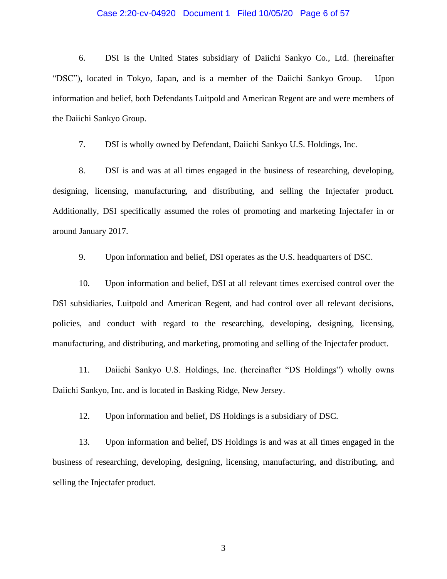#### Case 2:20-cv-04920 Document 1 Filed 10/05/20 Page 6 of 57

6. DSI is the United States subsidiary of Daiichi Sankyo Co., Ltd. (hereinafter "DSC"), located in Tokyo, Japan, and is a member of the Daiichi Sankyo Group. Upon information and belief, both Defendants Luitpold and American Regent are and were members of the Daiichi Sankyo Group.

7. DSI is wholly owned by Defendant, Daiichi Sankyo U.S. Holdings, Inc.

8. DSI is and was at all times engaged in the business of researching, developing, designing, licensing, manufacturing, and distributing, and selling the Injectafer product. Additionally, DSI specifically assumed the roles of promoting and marketing Injectafer in or around January 2017.

9. Upon information and belief, DSI operates as the U.S. headquarters of DSC.

10. Upon information and belief, DSI at all relevant times exercised control over the DSI subsidiaries, Luitpold and American Regent, and had control over all relevant decisions, policies, and conduct with regard to the researching, developing, designing, licensing, manufacturing, and distributing, and marketing, promoting and selling of the Injectafer product.

11. Daiichi Sankyo U.S. Holdings, Inc. (hereinafter "DS Holdings") wholly owns Daiichi Sankyo, Inc. and is located in Basking Ridge, New Jersey.

12. Upon information and belief, DS Holdings is a subsidiary of DSC.

13. Upon information and belief, DS Holdings is and was at all times engaged in the business of researching, developing, designing, licensing, manufacturing, and distributing, and selling the Injectafer product.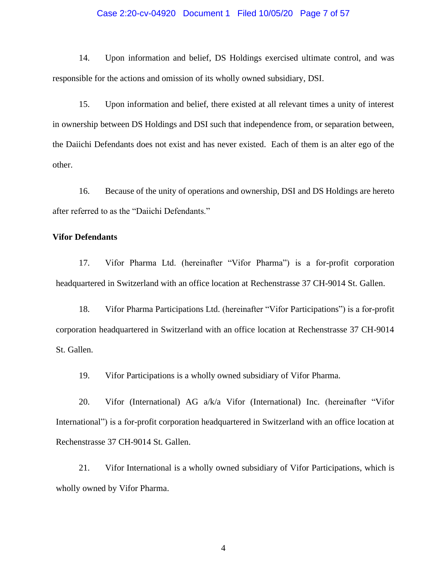#### Case 2:20-cv-04920 Document 1 Filed 10/05/20 Page 7 of 57

14. Upon information and belief, DS Holdings exercised ultimate control, and was responsible for the actions and omission of its wholly owned subsidiary, DSI.

15. Upon information and belief, there existed at all relevant times a unity of interest in ownership between DS Holdings and DSI such that independence from, or separation between, the Daiichi Defendants does not exist and has never existed. Each of them is an alter ego of the other.

16. Because of the unity of operations and ownership, DSI and DS Holdings are hereto after referred to as the "Daiichi Defendants."

#### **Vifor Defendants**

17. Vifor Pharma Ltd. (hereinafter "Vifor Pharma") is a for-profit corporation headquartered in Switzerland with an office location at Rechenstrasse 37 CH-9014 St. Gallen.

18. Vifor Pharma Participations Ltd. (hereinafter "Vifor Participations") is a for-profit corporation headquartered in Switzerland with an office location at Rechenstrasse 37 CH-9014 St. Gallen.

19. Vifor Participations is a wholly owned subsidiary of Vifor Pharma.

20. Vifor (International) AG a/k/a Vifor (International) Inc. (hereinafter "Vifor International") is a for-profit corporation headquartered in Switzerland with an office location at Rechenstrasse 37 CH-9014 St. Gallen.

21. Vifor International is a wholly owned subsidiary of Vifor Participations, which is wholly owned by Vifor Pharma.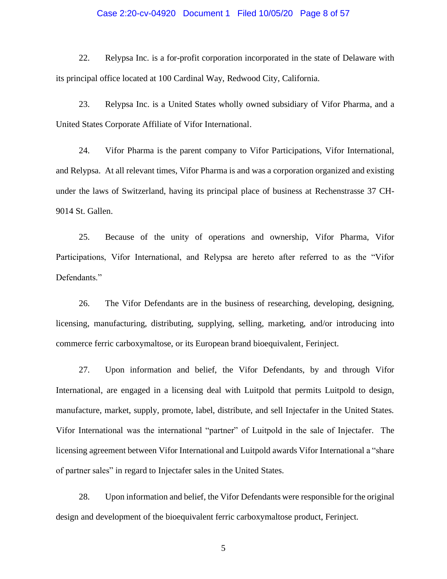#### Case 2:20-cv-04920 Document 1 Filed 10/05/20 Page 8 of 57

22. Relypsa Inc. is a for-profit corporation incorporated in the state of Delaware with its principal office located at 100 Cardinal Way, Redwood City, California.

23. Relypsa Inc. is a United States wholly owned subsidiary of Vifor Pharma, and a United States Corporate Affiliate of Vifor International.

24. Vifor Pharma is the parent company to Vifor Participations, Vifor International, and Relypsa. At all relevant times, Vifor Pharma is and was a corporation organized and existing under the laws of Switzerland, having its principal place of business at Rechenstrasse 37 CH-9014 St. Gallen.

25. Because of the unity of operations and ownership, Vifor Pharma, Vifor Participations, Vifor International, and Relypsa are hereto after referred to as the "Vifor Defendants."

26. The Vifor Defendants are in the business of researching, developing, designing, licensing, manufacturing, distributing, supplying, selling, marketing, and/or introducing into commerce ferric carboxymaltose, or its European brand bioequivalent, Ferinject.

27. Upon information and belief, the Vifor Defendants, by and through Vifor International, are engaged in a licensing deal with Luitpold that permits Luitpold to design, manufacture, market, supply, promote, label, distribute, and sell Injectafer in the United States. Vifor International was the international "partner" of Luitpold in the sale of Injectafer. The licensing agreement between Vifor International and Luitpold awards Vifor International a "share of partner sales" in regard to Injectafer sales in the United States.

28. Upon information and belief, the Vifor Defendants were responsible for the original design and development of the bioequivalent ferric carboxymaltose product, Ferinject.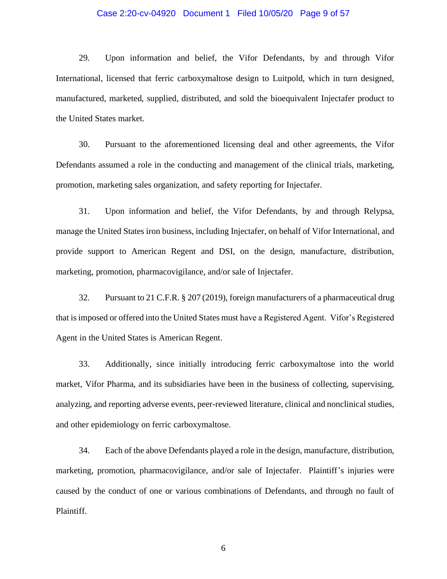#### Case 2:20-cv-04920 Document 1 Filed 10/05/20 Page 9 of 57

29. Upon information and belief, the Vifor Defendants, by and through Vifor International, licensed that ferric carboxymaltose design to Luitpold, which in turn designed, manufactured, marketed, supplied, distributed, and sold the bioequivalent Injectafer product to the United States market.

30. Pursuant to the aforementioned licensing deal and other agreements, the Vifor Defendants assumed a role in the conducting and management of the clinical trials, marketing, promotion, marketing sales organization, and safety reporting for Injectafer.

31. Upon information and belief, the Vifor Defendants, by and through Relypsa, manage the United States iron business, including Injectafer, on behalf of Vifor International, and provide support to American Regent and DSI, on the design, manufacture, distribution, marketing, promotion, pharmacovigilance, and/or sale of Injectafer.

32. Pursuant to 21 C.F.R. § 207 (2019), foreign manufacturers of a pharmaceutical drug that is imposed or offered into the United States must have a Registered Agent. Vifor's Registered Agent in the United States is American Regent.

33. Additionally, since initially introducing ferric carboxymaltose into the world market, Vifor Pharma, and its subsidiaries have been in the business of collecting, supervising, analyzing, and reporting adverse events, peer-reviewed literature, clinical and nonclinical studies, and other epidemiology on ferric carboxymaltose.

34. Each of the above Defendants played a role in the design, manufacture, distribution, marketing, promotion, pharmacovigilance, and/or sale of Injectafer. Plaintiff's injuries were caused by the conduct of one or various combinations of Defendants, and through no fault of Plaintiff.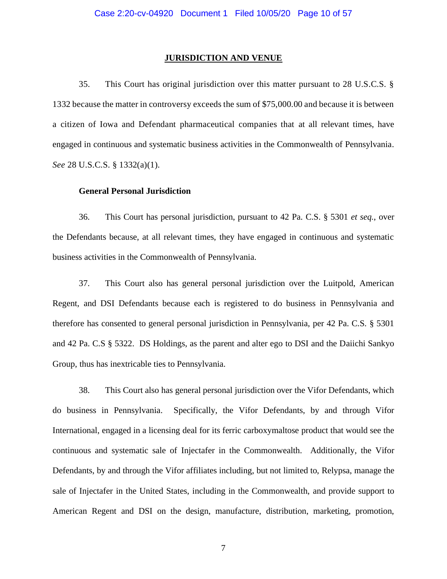#### **JURISDICTION AND VENUE**

35. This Court has original jurisdiction over this matter pursuant to 28 U.S.C.S. § 1332 because the matter in controversy exceeds the sum of \$75,000.00 and because it is between a citizen of Iowa and Defendant pharmaceutical companies that at all relevant times, have engaged in continuous and systematic business activities in the Commonwealth of Pennsylvania. *See* 28 U.S.C.S. § 1332(a)(1).

### **General Personal Jurisdiction**

36. This Court has personal jurisdiction, pursuant to 42 Pa. C.S. § 5301 *et seq.*, over the Defendants because, at all relevant times, they have engaged in continuous and systematic business activities in the Commonwealth of Pennsylvania.

37. This Court also has general personal jurisdiction over the Luitpold, American Regent, and DSI Defendants because each is registered to do business in Pennsylvania and therefore has consented to general personal jurisdiction in Pennsylvania, per 42 Pa. C.S. § 5301 and 42 Pa. C.S § 5322. DS Holdings, as the parent and alter ego to DSI and the Daiichi Sankyo Group, thus has inextricable ties to Pennsylvania.

38. This Court also has general personal jurisdiction over the Vifor Defendants, which do business in Pennsylvania. Specifically, the Vifor Defendants, by and through Vifor International, engaged in a licensing deal for its ferric carboxymaltose product that would see the continuous and systematic sale of Injectafer in the Commonwealth. Additionally, the Vifor Defendants, by and through the Vifor affiliates including, but not limited to, Relypsa, manage the sale of Injectafer in the United States, including in the Commonwealth, and provide support to American Regent and DSI on the design, manufacture, distribution, marketing, promotion,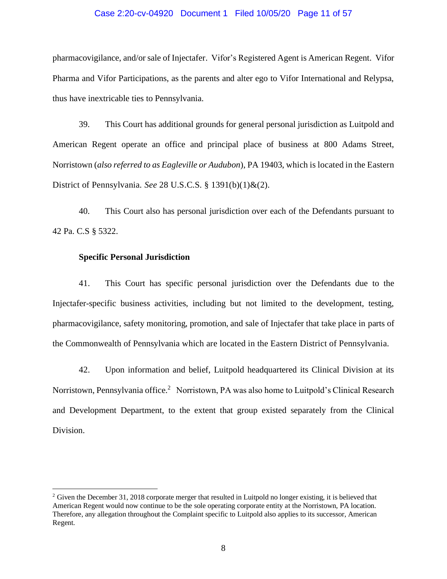#### Case 2:20-cv-04920 Document 1 Filed 10/05/20 Page 11 of 57

pharmacovigilance, and/or sale of Injectafer. Vifor's Registered Agent is American Regent. Vifor Pharma and Vifor Participations, as the parents and alter ego to Vifor International and Relypsa, thus have inextricable ties to Pennsylvania.

39. This Court has additional grounds for general personal jurisdiction as Luitpold and American Regent operate an office and principal place of business at 800 Adams Street, Norristown (*also referred to as Eagleville or Audubon*), PA 19403, which is located in the Eastern District of Pennsylvania. *See* 28 U.S.C.S. § 1391(b)(1)&(2).

40. This Court also has personal jurisdiction over each of the Defendants pursuant to 42 Pa. C.S § 5322.

#### **Specific Personal Jurisdiction**

41. This Court has specific personal jurisdiction over the Defendants due to the Injectafer-specific business activities, including but not limited to the development, testing, pharmacovigilance, safety monitoring, promotion, and sale of Injectafer that take place in parts of the Commonwealth of Pennsylvania which are located in the Eastern District of Pennsylvania.

42. Upon information and belief, Luitpold headquartered its Clinical Division at its Norristown, Pennsylvania office.<sup>2</sup> Norristown, PA was also home to Luitpold's Clinical Research and Development Department, to the extent that group existed separately from the Clinical Division.

<sup>&</sup>lt;sup>2</sup> Given the December 31, 2018 corporate merger that resulted in Luitpold no longer existing, it is believed that American Regent would now continue to be the sole operating corporate entity at the Norristown, PA location. Therefore, any allegation throughout the Complaint specific to Luitpold also applies to its successor, American Regent.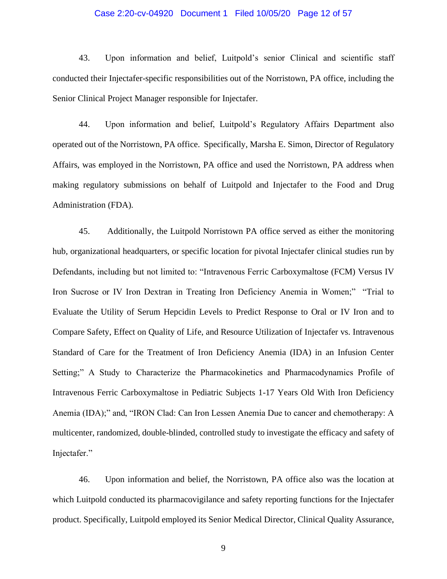#### Case 2:20-cv-04920 Document 1 Filed 10/05/20 Page 12 of 57

43. Upon information and belief, Luitpold's senior Clinical and scientific staff conducted their Injectafer-specific responsibilities out of the Norristown, PA office, including the Senior Clinical Project Manager responsible for Injectafer.

44. Upon information and belief, Luitpold's Regulatory Affairs Department also operated out of the Norristown, PA office. Specifically, Marsha E. Simon, Director of Regulatory Affairs, was employed in the Norristown, PA office and used the Norristown, PA address when making regulatory submissions on behalf of Luitpold and Injectafer to the Food and Drug Administration (FDA).

45. Additionally, the Luitpold Norristown PA office served as either the monitoring hub, organizational headquarters, or specific location for pivotal Injectafer clinical studies run by Defendants, including but not limited to: "Intravenous Ferric Carboxymaltose (FCM) Versus IV Iron Sucrose or IV Iron Dextran in Treating Iron Deficiency Anemia in Women;" "Trial to Evaluate the Utility of Serum Hepcidin Levels to Predict Response to Oral or IV Iron and to Compare Safety, Effect on Quality of Life, and Resource Utilization of Injectafer vs. Intravenous Standard of Care for the Treatment of Iron Deficiency Anemia (IDA) in an Infusion Center Setting;" A Study to Characterize the Pharmacokinetics and Pharmacodynamics Profile of Intravenous Ferric Carboxymaltose in Pediatric Subjects 1-17 Years Old With Iron Deficiency Anemia (IDA);" and, "IRON Clad: Can Iron Lessen Anemia Due to cancer and chemotherapy: A multicenter, randomized, double-blinded, controlled study to investigate the efficacy and safety of Injectafer."

46. Upon information and belief, the Norristown, PA office also was the location at which Luitpold conducted its pharmacovigilance and safety reporting functions for the Injectafer product. Specifically, Luitpold employed its Senior Medical Director, Clinical Quality Assurance,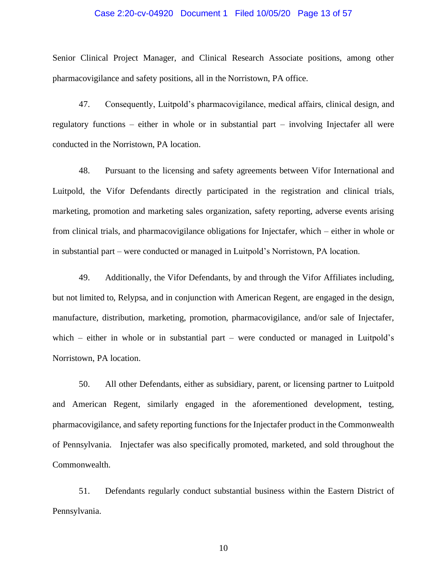#### Case 2:20-cv-04920 Document 1 Filed 10/05/20 Page 13 of 57

Senior Clinical Project Manager, and Clinical Research Associate positions, among other pharmacovigilance and safety positions, all in the Norristown, PA office.

47. Consequently, Luitpold's pharmacovigilance, medical affairs, clinical design, and regulatory functions – either in whole or in substantial part – involving Injectafer all were conducted in the Norristown, PA location.

48. Pursuant to the licensing and safety agreements between Vifor International and Luitpold, the Vifor Defendants directly participated in the registration and clinical trials, marketing, promotion and marketing sales organization, safety reporting, adverse events arising from clinical trials, and pharmacovigilance obligations for Injectafer, which – either in whole or in substantial part – were conducted or managed in Luitpold's Norristown, PA location.

49. Additionally, the Vifor Defendants, by and through the Vifor Affiliates including, but not limited to, Relypsa, and in conjunction with American Regent, are engaged in the design, manufacture, distribution, marketing, promotion, pharmacovigilance, and/or sale of Injectafer, which – either in whole or in substantial part – were conducted or managed in Luitpold's Norristown, PA location.

50. All other Defendants, either as subsidiary, parent, or licensing partner to Luitpold and American Regent, similarly engaged in the aforementioned development, testing, pharmacovigilance, and safety reporting functions for the Injectafer product in the Commonwealth of Pennsylvania. Injectafer was also specifically promoted, marketed, and sold throughout the Commonwealth.

51. Defendants regularly conduct substantial business within the Eastern District of Pennsylvania.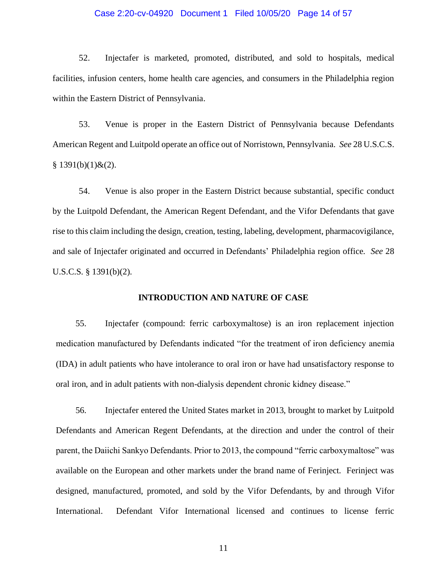#### Case 2:20-cv-04920 Document 1 Filed 10/05/20 Page 14 of 57

52. Injectafer is marketed, promoted, distributed, and sold to hospitals, medical facilities, infusion centers, home health care agencies, and consumers in the Philadelphia region within the Eastern District of Pennsylvania.

53. Venue is proper in the Eastern District of Pennsylvania because Defendants American Regent and Luitpold operate an office out of Norristown, Pennsylvania. *See* 28 U.S.C.S.  $§ 1391(b)(1) \& (2).$ 

54. Venue is also proper in the Eastern District because substantial, specific conduct by the Luitpold Defendant, the American Regent Defendant, and the Vifor Defendants that gave rise to this claim including the design, creation, testing, labeling, development, pharmacovigilance, and sale of Injectafer originated and occurred in Defendants' Philadelphia region office. *See* 28 U.S.C.S. § 1391(b)(2).

### **INTRODUCTION AND NATURE OF CASE**

55. Injectafer (compound: ferric carboxymaltose) is an iron replacement injection medication manufactured by Defendants indicated "for the treatment of iron deficiency anemia (IDA) in adult patients who have intolerance to oral iron or have had unsatisfactory response to oral iron, and in adult patients with non-dialysis dependent chronic kidney disease."

56. Injectafer entered the United States market in 2013, brought to market by Luitpold Defendants and American Regent Defendants, at the direction and under the control of their parent, the Daiichi Sankyo Defendants. Prior to 2013, the compound "ferric carboxymaltose" was available on the European and other markets under the brand name of Ferinject. Ferinject was designed, manufactured, promoted, and sold by the Vifor Defendants, by and through Vifor International. Defendant Vifor International licensed and continues to license ferric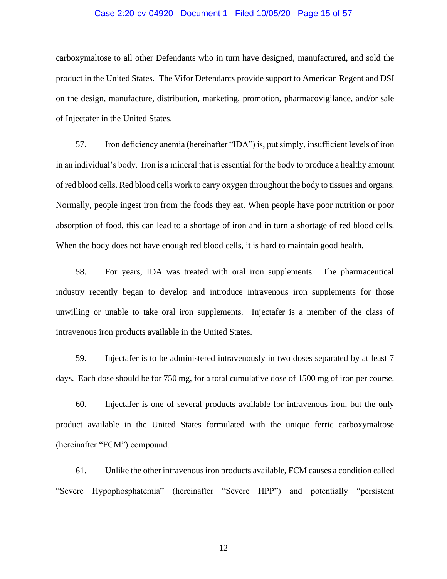#### Case 2:20-cv-04920 Document 1 Filed 10/05/20 Page 15 of 57

carboxymaltose to all other Defendants who in turn have designed, manufactured, and sold the product in the United States. The Vifor Defendants provide support to American Regent and DSI on the design, manufacture, distribution, marketing, promotion, pharmacovigilance, and/or sale of Injectafer in the United States.

57. Iron deficiency anemia (hereinafter "IDA") is, put simply, insufficient levels of iron in an individual's body. Iron is a mineral that is essential for the body to produce a healthy amount of red blood cells. Red blood cells work to carry oxygen throughout the body to tissues and organs. Normally, people ingest iron from the foods they eat. When people have poor nutrition or poor absorption of food, this can lead to a shortage of iron and in turn a shortage of red blood cells. When the body does not have enough red blood cells, it is hard to maintain good health.

58. For years, IDA was treated with oral iron supplements. The pharmaceutical industry recently began to develop and introduce intravenous iron supplements for those unwilling or unable to take oral iron supplements. Injectafer is a member of the class of intravenous iron products available in the United States.

59. Injectafer is to be administered intravenously in two doses separated by at least 7 days. Each dose should be for 750 mg, for a total cumulative dose of 1500 mg of iron per course.

60. Injectafer is one of several products available for intravenous iron, but the only product available in the United States formulated with the unique ferric carboxymaltose (hereinafter "FCM") compound.

61. Unlike the other intravenous iron products available, FCM causes a condition called "Severe Hypophosphatemia" (hereinafter "Severe HPP") and potentially "persistent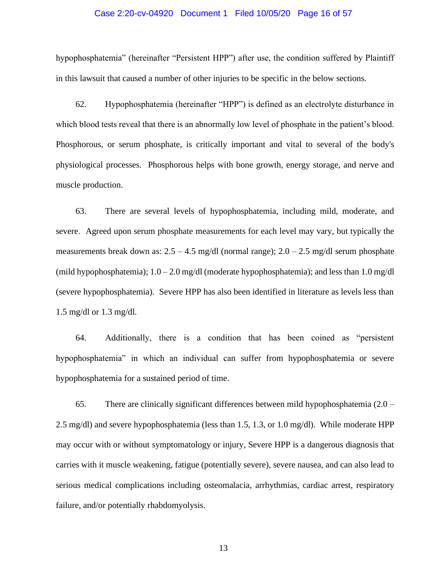#### Case 2:20-cv-04920 Document 1 Filed 10/05/20 Page 16 of 57

hypophosphatemia" (hereinafter "Persistent HPP") after use, the condition suffered by Plaintiff in this lawsuit that caused a number of other injuries to be specific in the below sections.

62. Hypophosphatemia (hereinafter "HPP") is defined as an electrolyte disturbance in which blood tests reveal that there is an abnormally low level of phosphate in the patient's blood. Phosphorous, or serum phosphate, is critically important and vital to several of the body's physiological processes. Phosphorous helps with bone growth, energy storage, and nerve and muscle production.

63. There are several levels of hypophosphatemia, including mild, moderate, and severe. Agreed upon serum phosphate measurements for each level may vary, but typically the measurements break down as:  $2.5 - 4.5$  mg/dl (normal range);  $2.0 - 2.5$  mg/dl serum phosphate (mild hypophosphatemia);  $1.0 - 2.0$  mg/dl (moderate hypophosphatemia); and less than  $1.0$  mg/dl (severe hypophosphatemia). Severe HPP has also been identified in literature as levels less than 1.5 mg/dl or 1.3 mg/dl.

64. Additionally, there is a condition that has been coined as "persistent hypophosphatemia" in which an individual can suffer from hypophosphatemia or severe hypophosphatemia for a sustained period of time.

65. There are clinically significant differences between mild hypophosphatemia  $(2.0 -$ 2.5 mg/dl) and severe hypophosphatemia (less than 1.5, 1.3, or 1.0 mg/dl). While moderate HPP may occur with or without symptomatology or injury, Severe HPP is a dangerous diagnosis that carries with it muscle weakening, fatigue (potentially severe), severe nausea, and can also lead to serious medical complications including osteomalacia, arrhythmias, cardiac arrest, respiratory failure, and/or potentially rhabdomyolysis.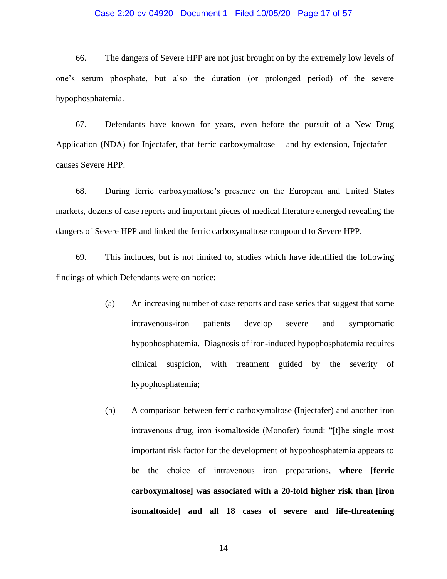#### Case 2:20-cv-04920 Document 1 Filed 10/05/20 Page 17 of 57

66. The dangers of Severe HPP are not just brought on by the extremely low levels of one's serum phosphate, but also the duration (or prolonged period) of the severe hypophosphatemia.

67. Defendants have known for years, even before the pursuit of a New Drug Application (NDA) for Injectafer, that ferric carboxymaltose – and by extension, Injectafer – causes Severe HPP.

68. During ferric carboxymaltose's presence on the European and United States markets, dozens of case reports and important pieces of medical literature emerged revealing the dangers of Severe HPP and linked the ferric carboxymaltose compound to Severe HPP.

69. This includes, but is not limited to, studies which have identified the following findings of which Defendants were on notice:

- (a) An increasing number of case reports and case series that suggest that some intravenous-iron patients develop severe and symptomatic hypophosphatemia. Diagnosis of iron-induced hypophosphatemia requires clinical suspicion, with treatment guided by the severity of hypophosphatemia;
- (b) A comparison between ferric carboxymaltose (Injectafer) and another iron intravenous drug, iron isomaltoside (Monofer) found: "[t]he single most important risk factor for the development of hypophosphatemia appears to be the choice of intravenous iron preparations, **where [ferric carboxymaltose] was associated with a 20-fold higher risk than [iron isomaltoside] and all 18 cases of severe and life-threatening**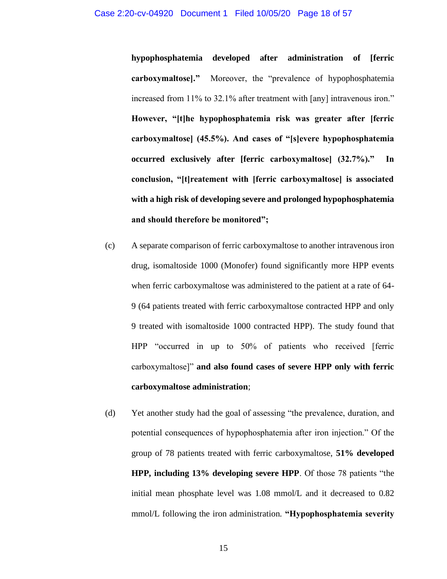**hypophosphatemia developed after administration of [ferric carboxymaltose]."** Moreover, the "prevalence of hypophosphatemia increased from 11% to 32.1% after treatment with [any] intravenous iron." **However, "[t]he hypophosphatemia risk was greater after [ferric carboxymaltose] (45.5%). And cases of "[s]evere hypophosphatemia occurred exclusively after [ferric carboxymaltose] (32.7%)." In conclusion, "[t]reatement with [ferric carboxymaltose] is associated with a high risk of developing severe and prolonged hypophosphatemia and should therefore be monitored";** 

- (c) A separate comparison of ferric carboxymaltose to another intravenous iron drug, isomaltoside 1000 (Monofer) found significantly more HPP events when ferric carboxymaltose was administered to the patient at a rate of 64- 9 (64 patients treated with ferric carboxymaltose contracted HPP and only 9 treated with isomaltoside 1000 contracted HPP). The study found that HPP "occurred in up to 50% of patients who received [ferric carboxymaltose]" **and also found cases of severe HPP only with ferric carboxymaltose administration**;
- (d) Yet another study had the goal of assessing "the prevalence, duration, and potential consequences of hypophosphatemia after iron injection." Of the group of 78 patients treated with ferric carboxymaltose, **51% developed HPP, including 13% developing severe HPP**. Of those 78 patients "the initial mean phosphate level was 1.08 mmol/L and it decreased to 0.82 mmol/L following the iron administration. **"Hypophosphatemia severity**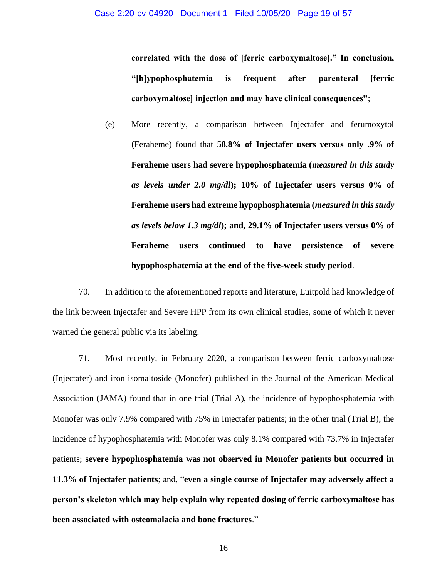**correlated with the dose of [ferric carboxymaltose]." In conclusion, "[h]ypophosphatemia is frequent after parenteral [ferric carboxymaltose] injection and may have clinical consequences"**;

(e) More recently, a comparison between Injectafer and ferumoxytol (Feraheme) found that **58.8% of Injectafer users versus only .9% of Feraheme users had severe hypophosphatemia (***measured in this study as levels under 2.0 mg/dl***); 10% of Injectafer users versus 0% of Feraheme users had extreme hypophosphatemia (***measured in this study as levels below 1.3 mg/dl***); and, 29.1% of Injectafer users versus 0% of Feraheme users continued to have persistence of severe hypophosphatemia at the end of the five-week study period**.

70. In addition to the aforementioned reports and literature, Luitpold had knowledge of the link between Injectafer and Severe HPP from its own clinical studies, some of which it never warned the general public via its labeling.

71. Most recently, in February 2020, a comparison between ferric carboxymaltose (Injectafer) and iron isomaltoside (Monofer) published in the Journal of the American Medical Association (JAMA) found that in one trial (Trial A), the incidence of hypophosphatemia with Monofer was only 7.9% compared with 75% in Injectafer patients; in the other trial (Trial B), the incidence of hypophosphatemia with Monofer was only 8.1% compared with 73.7% in Injectafer patients; **severe hypophosphatemia was not observed in Monofer patients but occurred in 11.3% of Injectafer patients**; and, "**even a single course of Injectafer may adversely affect a person's skeleton which may help explain why repeated dosing of ferric carboxymaltose has been associated with osteomalacia and bone fractures**."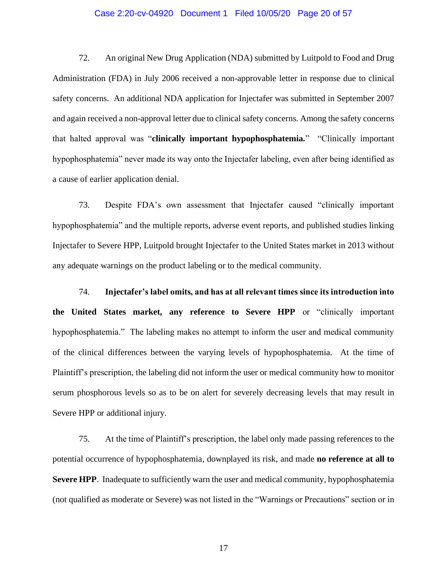#### Case 2:20-cv-04920 Document 1 Filed 10/05/20 Page 20 of 57

72. An original New Drug Application (NDA) submitted by Luitpold to Food and Drug Administration (FDA) in July 2006 received a non-approvable letter in response due to clinical safety concerns. An additional NDA application for Injectafer was submitted in September 2007 and again received a non-approval letter due to clinical safety concerns. Among the safety concerns that halted approval was "**clinically important hypophosphatemia.**" "Clinically important hypophosphatemia" never made its way onto the Injectafer labeling, even after being identified as a cause of earlier application denial.

73. Despite FDA's own assessment that Injectafer caused "clinically important hypophosphatemia" and the multiple reports, adverse event reports, and published studies linking Injectafer to Severe HPP, Luitpold brought Injectafer to the United States market in 2013 without any adequate warnings on the product labeling or to the medical community.

74. **Injectafer's label omits, and has at all relevant times since its introduction into the United States market, any reference to Severe HPP** or "clinically important hypophosphatemia." The labeling makes no attempt to inform the user and medical community of the clinical differences between the varying levels of hypophosphatemia. At the time of Plaintiff's prescription, the labeling did not inform the user or medical community how to monitor serum phosphorous levels so as to be on alert for severely decreasing levels that may result in Severe HPP or additional injury.

75. At the time of Plaintiff's prescription, the label only made passing references to the potential occurrence of hypophosphatemia, downplayed its risk, and made **no reference at all to Severe HPP.** Inadequate to sufficiently warn the user and medical community, hypophosphatemia (not qualified as moderate or Severe) was not listed in the "Warnings or Precautions" section or in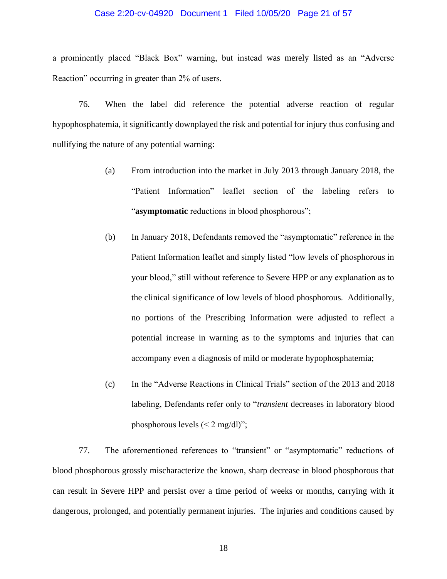#### Case 2:20-cv-04920 Document 1 Filed 10/05/20 Page 21 of 57

a prominently placed "Black Box" warning, but instead was merely listed as an "Adverse Reaction" occurring in greater than 2% of users.

76. When the label did reference the potential adverse reaction of regular hypophosphatemia, it significantly downplayed the risk and potential for injury thus confusing and nullifying the nature of any potential warning:

- (a) From introduction into the market in July 2013 through January 2018, the "Patient Information" leaflet section of the labeling refers to "**asymptomatic** reductions in blood phosphorous";
- (b) In January 2018, Defendants removed the "asymptomatic" reference in the Patient Information leaflet and simply listed "low levels of phosphorous in your blood," still without reference to Severe HPP or any explanation as to the clinical significance of low levels of blood phosphorous. Additionally, no portions of the Prescribing Information were adjusted to reflect a potential increase in warning as to the symptoms and injuries that can accompany even a diagnosis of mild or moderate hypophosphatemia;
- (c) In the "Adverse Reactions in Clinical Trials" section of the 2013 and 2018 labeling, Defendants refer only to "*transient* decreases in laboratory blood phosphorous levels  $\left($  < 2 mg/dl)";

77. The aforementioned references to "transient" or "asymptomatic" reductions of blood phosphorous grossly mischaracterize the known, sharp decrease in blood phosphorous that can result in Severe HPP and persist over a time period of weeks or months, carrying with it dangerous, prolonged, and potentially permanent injuries. The injuries and conditions caused by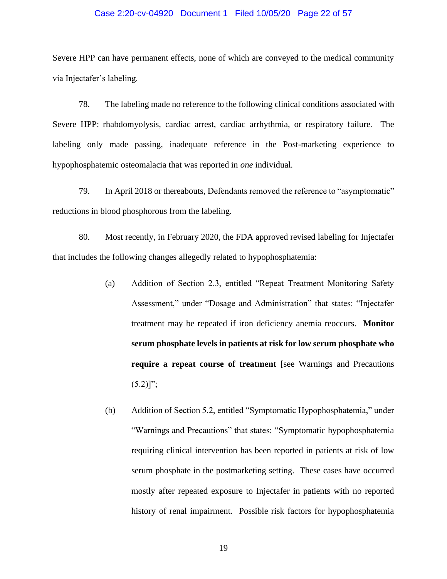#### Case 2:20-cv-04920 Document 1 Filed 10/05/20 Page 22 of 57

Severe HPP can have permanent effects, none of which are conveyed to the medical community via Injectafer's labeling.

78. The labeling made no reference to the following clinical conditions associated with Severe HPP: rhabdomyolysis, cardiac arrest, cardiac arrhythmia, or respiratory failure. The labeling only made passing, inadequate reference in the Post-marketing experience to hypophosphatemic osteomalacia that was reported in *one* individual.

79. In April 2018 or thereabouts, Defendants removed the reference to "asymptomatic" reductions in blood phosphorous from the labeling.

80. Most recently, in February 2020, the FDA approved revised labeling for Injectafer that includes the following changes allegedly related to hypophosphatemia:

- (a) Addition of Section 2.3, entitled "Repeat Treatment Monitoring Safety Assessment," under "Dosage and Administration" that states: "Injectafer treatment may be repeated if iron deficiency anemia reoccurs. **Monitor serum phosphate levels in patients at risk for low serum phosphate who require a repeat course of treatment** [see Warnings and Precautions  $(5.2)$ ]";
- (b) Addition of Section 5.2, entitled "Symptomatic Hypophosphatemia," under "Warnings and Precautions" that states: "Symptomatic hypophosphatemia requiring clinical intervention has been reported in patients at risk of low serum phosphate in the postmarketing setting. These cases have occurred mostly after repeated exposure to Injectafer in patients with no reported history of renal impairment. Possible risk factors for hypophosphatemia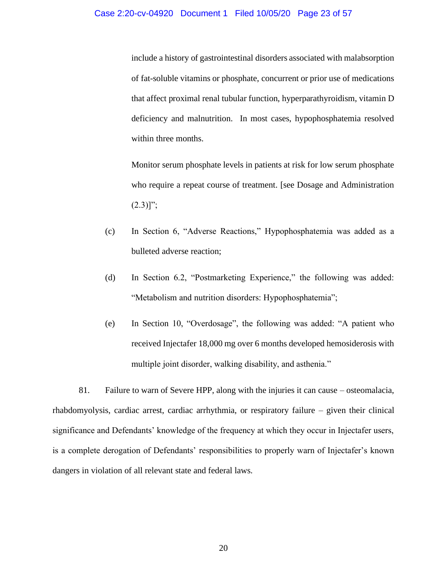include a history of gastrointestinal disorders associated with malabsorption of fat-soluble vitamins or phosphate, concurrent or prior use of medications that affect proximal renal tubular function, hyperparathyroidism, vitamin D deficiency and malnutrition. In most cases, hypophosphatemia resolved within three months.

Monitor serum phosphate levels in patients at risk for low serum phosphate who require a repeat course of treatment. [see Dosage and Administration  $(2.3)$ ]";

- (c) In Section 6, "Adverse Reactions," Hypophosphatemia was added as a bulleted adverse reaction;
- (d) In Section 6.2, "Postmarketing Experience," the following was added: "Metabolism and nutrition disorders: Hypophosphatemia";
- (e) In Section 10, "Overdosage", the following was added: "A patient who received Injectafer 18,000 mg over 6 months developed hemosiderosis with multiple joint disorder, walking disability, and asthenia."

81. Failure to warn of Severe HPP, along with the injuries it can cause – osteomalacia, rhabdomyolysis, cardiac arrest, cardiac arrhythmia, or respiratory failure – given their clinical significance and Defendants' knowledge of the frequency at which they occur in Injectafer users, is a complete derogation of Defendants' responsibilities to properly warn of Injectafer's known dangers in violation of all relevant state and federal laws.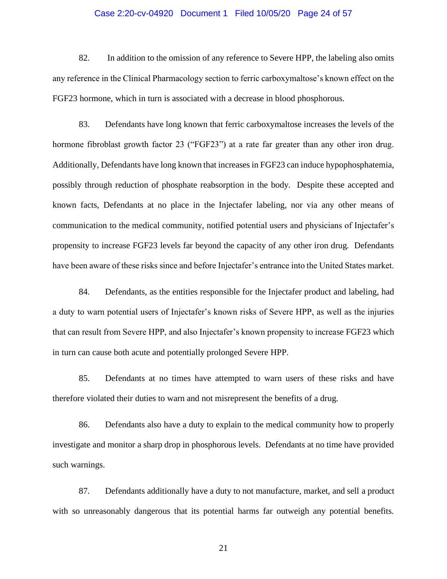#### Case 2:20-cv-04920 Document 1 Filed 10/05/20 Page 24 of 57

82. In addition to the omission of any reference to Severe HPP, the labeling also omits any reference in the Clinical Pharmacology section to ferric carboxymaltose's known effect on the FGF23 hormone, which in turn is associated with a decrease in blood phosphorous.

83. Defendants have long known that ferric carboxymaltose increases the levels of the hormone fibroblast growth factor 23 ("FGF23") at a rate far greater than any other iron drug. Additionally, Defendants have long known that increases in FGF23 can induce hypophosphatemia, possibly through reduction of phosphate reabsorption in the body. Despite these accepted and known facts, Defendants at no place in the Injectafer labeling, nor via any other means of communication to the medical community, notified potential users and physicians of Injectafer's propensity to increase FGF23 levels far beyond the capacity of any other iron drug. Defendants have been aware of these risks since and before Injectafer's entrance into the United States market.

84. Defendants, as the entities responsible for the Injectafer product and labeling, had a duty to warn potential users of Injectafer's known risks of Severe HPP, as well as the injuries that can result from Severe HPP, and also Injectafer's known propensity to increase FGF23 which in turn can cause both acute and potentially prolonged Severe HPP.

85. Defendants at no times have attempted to warn users of these risks and have therefore violated their duties to warn and not misrepresent the benefits of a drug.

86. Defendants also have a duty to explain to the medical community how to properly investigate and monitor a sharp drop in phosphorous levels. Defendants at no time have provided such warnings.

87. Defendants additionally have a duty to not manufacture, market, and sell a product with so unreasonably dangerous that its potential harms far outweigh any potential benefits.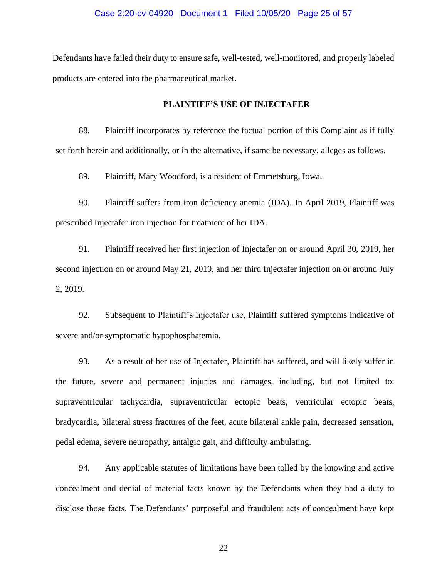#### Case 2:20-cv-04920 Document 1 Filed 10/05/20 Page 25 of 57

Defendants have failed their duty to ensure safe, well-tested, well-monitored, and properly labeled products are entered into the pharmaceutical market.

#### **PLAINTIFF'S USE OF INJECTAFER**

88. Plaintiff incorporates by reference the factual portion of this Complaint as if fully set forth herein and additionally, or in the alternative, if same be necessary, alleges as follows.

89. Plaintiff, Mary Woodford, is a resident of Emmetsburg, Iowa.

90. Plaintiff suffers from iron deficiency anemia (IDA). In April 2019, Plaintiff was prescribed Injectafer iron injection for treatment of her IDA.

91. Plaintiff received her first injection of Injectafer on or around April 30, 2019, her second injection on or around May 21, 2019, and her third Injectafer injection on or around July 2, 2019.

92. Subsequent to Plaintiff's Injectafer use, Plaintiff suffered symptoms indicative of severe and/or symptomatic hypophosphatemia.

93. As a result of her use of Injectafer, Plaintiff has suffered, and will likely suffer in the future, severe and permanent injuries and damages, including, but not limited to: supraventricular tachycardia, supraventricular ectopic beats, ventricular ectopic beats, bradycardia, bilateral stress fractures of the feet, acute bilateral ankle pain, decreased sensation, pedal edema, severe neuropathy, antalgic gait, and difficulty ambulating.

94. Any applicable statutes of limitations have been tolled by the knowing and active concealment and denial of material facts known by the Defendants when they had a duty to disclose those facts. The Defendants' purposeful and fraudulent acts of concealment have kept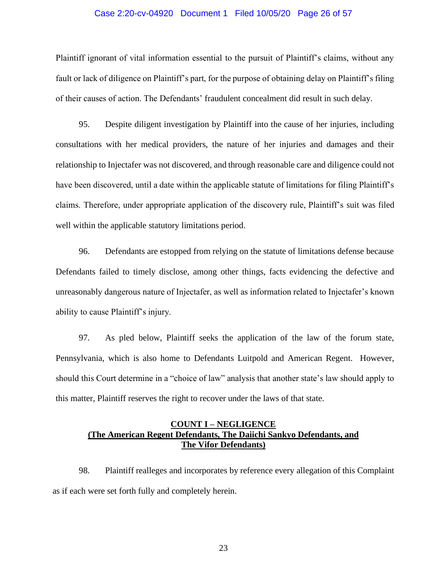#### Case 2:20-cv-04920 Document 1 Filed 10/05/20 Page 26 of 57

Plaintiff ignorant of vital information essential to the pursuit of Plaintiff's claims, without any fault or lack of diligence on Plaintiff's part, for the purpose of obtaining delay on Plaintiff's filing of their causes of action. The Defendants' fraudulent concealment did result in such delay.

95. Despite diligent investigation by Plaintiff into the cause of her injuries, including consultations with her medical providers, the nature of her injuries and damages and their relationship to Injectafer was not discovered, and through reasonable care and diligence could not have been discovered, until a date within the applicable statute of limitations for filing Plaintiff's claims. Therefore, under appropriate application of the discovery rule, Plaintiff's suit was filed well within the applicable statutory limitations period.

96. Defendants are estopped from relying on the statute of limitations defense because Defendants failed to timely disclose, among other things, facts evidencing the defective and unreasonably dangerous nature of Injectafer, as well as information related to Injectafer's known ability to cause Plaintiff's injury.

97. As pled below, Plaintiff seeks the application of the law of the forum state, Pennsylvania, which is also home to Defendants Luitpold and American Regent. However, should this Court determine in a "choice of law" analysis that another state's law should apply to this matter, Plaintiff reserves the right to recover under the laws of that state.

# **COUNT I – NEGLIGENCE (The American Regent Defendants, The Daiichi Sankyo Defendants, and The Vifor Defendants)**

98. Plaintiff realleges and incorporates by reference every allegation of this Complaint as if each were set forth fully and completely herein.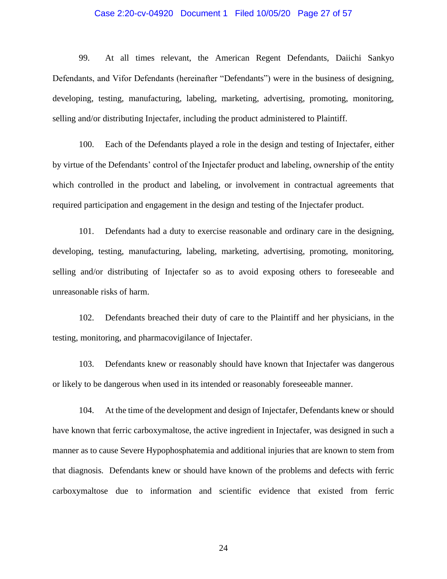#### Case 2:20-cv-04920 Document 1 Filed 10/05/20 Page 27 of 57

99. At all times relevant, the American Regent Defendants, Daiichi Sankyo Defendants, and Vifor Defendants (hereinafter "Defendants") were in the business of designing, developing, testing, manufacturing, labeling, marketing, advertising, promoting, monitoring, selling and/or distributing Injectafer, including the product administered to Plaintiff.

100. Each of the Defendants played a role in the design and testing of Injectafer, either by virtue of the Defendants' control of the Injectafer product and labeling, ownership of the entity which controlled in the product and labeling, or involvement in contractual agreements that required participation and engagement in the design and testing of the Injectafer product.

101. Defendants had a duty to exercise reasonable and ordinary care in the designing, developing, testing, manufacturing, labeling, marketing, advertising, promoting, monitoring, selling and/or distributing of Injectafer so as to avoid exposing others to foreseeable and unreasonable risks of harm.

102. Defendants breached their duty of care to the Plaintiff and her physicians, in the testing, monitoring, and pharmacovigilance of Injectafer.

103. Defendants knew or reasonably should have known that Injectafer was dangerous or likely to be dangerous when used in its intended or reasonably foreseeable manner.

104. At the time of the development and design of Injectafer, Defendants knew or should have known that ferric carboxymaltose, the active ingredient in Injectafer, was designed in such a manner as to cause Severe Hypophosphatemia and additional injuries that are known to stem from that diagnosis. Defendants knew or should have known of the problems and defects with ferric carboxymaltose due to information and scientific evidence that existed from ferric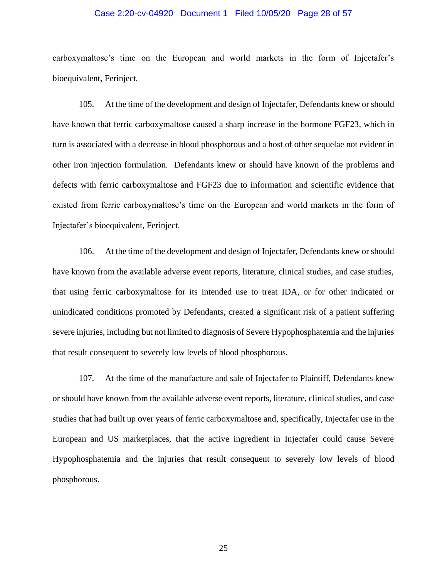#### Case 2:20-cv-04920 Document 1 Filed 10/05/20 Page 28 of 57

carboxymaltose's time on the European and world markets in the form of Injectafer's bioequivalent, Ferinject.

105. At the time of the development and design of Injectafer, Defendants knew or should have known that ferric carboxymaltose caused a sharp increase in the hormone FGF23, which in turn is associated with a decrease in blood phosphorous and a host of other sequelae not evident in other iron injection formulation. Defendants knew or should have known of the problems and defects with ferric carboxymaltose and FGF23 due to information and scientific evidence that existed from ferric carboxymaltose's time on the European and world markets in the form of Injectafer's bioequivalent, Ferinject.

106. At the time of the development and design of Injectafer, Defendants knew or should have known from the available adverse event reports, literature, clinical studies, and case studies, that using ferric carboxymaltose for its intended use to treat IDA, or for other indicated or unindicated conditions promoted by Defendants, created a significant risk of a patient suffering severe injuries, including but not limited to diagnosis of Severe Hypophosphatemia and the injuries that result consequent to severely low levels of blood phosphorous.

107. At the time of the manufacture and sale of Injectafer to Plaintiff, Defendants knew or should have known from the available adverse event reports, literature, clinical studies, and case studies that had built up over years of ferric carboxymaltose and, specifically, Injectafer use in the European and US marketplaces, that the active ingredient in Injectafer could cause Severe Hypophosphatemia and the injuries that result consequent to severely low levels of blood phosphorous.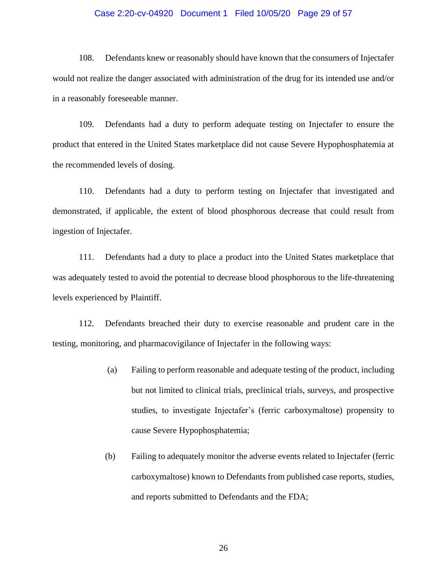#### Case 2:20-cv-04920 Document 1 Filed 10/05/20 Page 29 of 57

108. Defendants knew or reasonably should have known that the consumers of Injectafer would not realize the danger associated with administration of the drug for its intended use and/or in a reasonably foreseeable manner.

109. Defendants had a duty to perform adequate testing on Injectafer to ensure the product that entered in the United States marketplace did not cause Severe Hypophosphatemia at the recommended levels of dosing.

110. Defendants had a duty to perform testing on Injectafer that investigated and demonstrated, if applicable, the extent of blood phosphorous decrease that could result from ingestion of Injectafer.

111. Defendants had a duty to place a product into the United States marketplace that was adequately tested to avoid the potential to decrease blood phosphorous to the life-threatening levels experienced by Plaintiff.

112. Defendants breached their duty to exercise reasonable and prudent care in the testing, monitoring, and pharmacovigilance of Injectafer in the following ways:

- (a) Failing to perform reasonable and adequate testing of the product, including but not limited to clinical trials, preclinical trials, surveys, and prospective studies, to investigate Injectafer's (ferric carboxymaltose) propensity to cause Severe Hypophosphatemia;
- (b) Failing to adequately monitor the adverse events related to Injectafer (ferric carboxymaltose) known to Defendants from published case reports, studies, and reports submitted to Defendants and the FDA;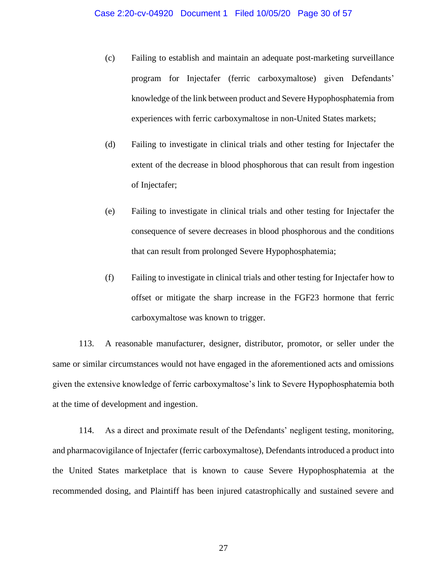- (c) Failing to establish and maintain an adequate post-marketing surveillance program for Injectafer (ferric carboxymaltose) given Defendants' knowledge of the link between product and Severe Hypophosphatemia from experiences with ferric carboxymaltose in non-United States markets;
- (d) Failing to investigate in clinical trials and other testing for Injectafer the extent of the decrease in blood phosphorous that can result from ingestion of Injectafer;
- (e) Failing to investigate in clinical trials and other testing for Injectafer the consequence of severe decreases in blood phosphorous and the conditions that can result from prolonged Severe Hypophosphatemia;
- (f) Failing to investigate in clinical trials and other testing for Injectafer how to offset or mitigate the sharp increase in the FGF23 hormone that ferric carboxymaltose was known to trigger.

113. A reasonable manufacturer, designer, distributor, promotor, or seller under the same or similar circumstances would not have engaged in the aforementioned acts and omissions given the extensive knowledge of ferric carboxymaltose's link to Severe Hypophosphatemia both at the time of development and ingestion.

114. As a direct and proximate result of the Defendants' negligent testing, monitoring, and pharmacovigilance of Injectafer (ferric carboxymaltose), Defendants introduced a product into the United States marketplace that is known to cause Severe Hypophosphatemia at the recommended dosing, and Plaintiff has been injured catastrophically and sustained severe and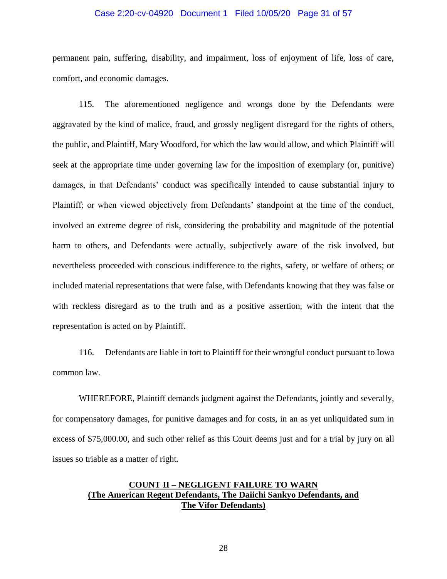#### Case 2:20-cv-04920 Document 1 Filed 10/05/20 Page 31 of 57

permanent pain, suffering, disability, and impairment, loss of enjoyment of life, loss of care, comfort, and economic damages.

115. The aforementioned negligence and wrongs done by the Defendants were aggravated by the kind of malice, fraud, and grossly negligent disregard for the rights of others, the public, and Plaintiff, Mary Woodford, for which the law would allow, and which Plaintiff will seek at the appropriate time under governing law for the imposition of exemplary (or, punitive) damages, in that Defendants' conduct was specifically intended to cause substantial injury to Plaintiff; or when viewed objectively from Defendants' standpoint at the time of the conduct, involved an extreme degree of risk, considering the probability and magnitude of the potential harm to others, and Defendants were actually, subjectively aware of the risk involved, but nevertheless proceeded with conscious indifference to the rights, safety, or welfare of others; or included material representations that were false, with Defendants knowing that they was false or with reckless disregard as to the truth and as a positive assertion, with the intent that the representation is acted on by Plaintiff.

116. Defendants are liable in tort to Plaintiff for their wrongful conduct pursuant to Iowa common law.

WHEREFORE, Plaintiff demands judgment against the Defendants, jointly and severally, for compensatory damages, for punitive damages and for costs, in an as yet unliquidated sum in excess of \$75,000.00, and such other relief as this Court deems just and for a trial by jury on all issues so triable as a matter of right.

# **COUNT II – NEGLIGENT FAILURE TO WARN (The American Regent Defendants, The Daiichi Sankyo Defendants, and The Vifor Defendants)**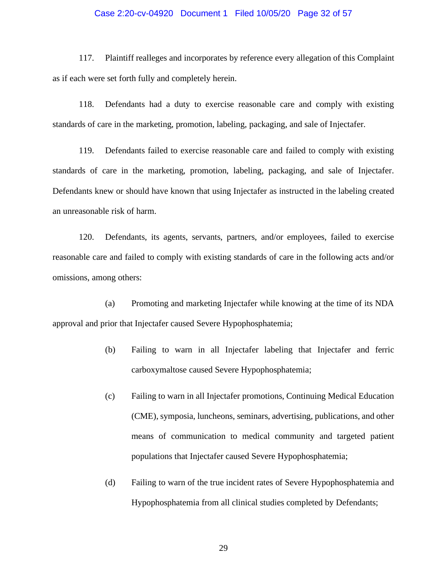#### Case 2:20-cv-04920 Document 1 Filed 10/05/20 Page 32 of 57

117. Plaintiff realleges and incorporates by reference every allegation of this Complaint as if each were set forth fully and completely herein.

118. Defendants had a duty to exercise reasonable care and comply with existing standards of care in the marketing, promotion, labeling, packaging, and sale of Injectafer.

119. Defendants failed to exercise reasonable care and failed to comply with existing standards of care in the marketing, promotion, labeling, packaging, and sale of Injectafer. Defendants knew or should have known that using Injectafer as instructed in the labeling created an unreasonable risk of harm.

120. Defendants, its agents, servants, partners, and/or employees, failed to exercise reasonable care and failed to comply with existing standards of care in the following acts and/or omissions, among others:

(a) Promoting and marketing Injectafer while knowing at the time of its NDA approval and prior that Injectafer caused Severe Hypophosphatemia;

- (b) Failing to warn in all Injectafer labeling that Injectafer and ferric carboxymaltose caused Severe Hypophosphatemia;
- (c) Failing to warn in all Injectafer promotions, Continuing Medical Education (CME), symposia, luncheons, seminars, advertising, publications, and other means of communication to medical community and targeted patient populations that Injectafer caused Severe Hypophosphatemia;
- (d) Failing to warn of the true incident rates of Severe Hypophosphatemia and Hypophosphatemia from all clinical studies completed by Defendants;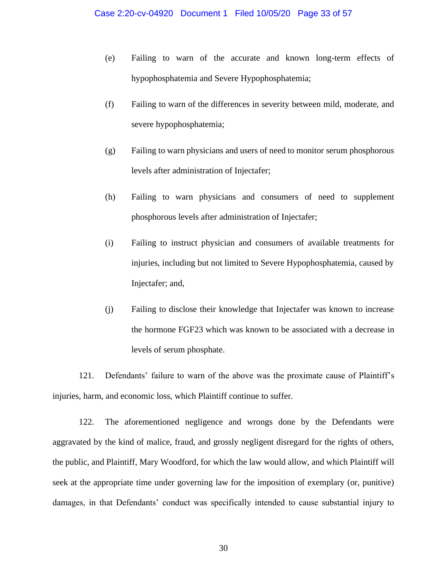- (e) Failing to warn of the accurate and known long-term effects of hypophosphatemia and Severe Hypophosphatemia;
- (f) Failing to warn of the differences in severity between mild, moderate, and severe hypophosphatemia;
- (g) Failing to warn physicians and users of need to monitor serum phosphorous levels after administration of Injectafer;
- (h) Failing to warn physicians and consumers of need to supplement phosphorous levels after administration of Injectafer;
- (i) Failing to instruct physician and consumers of available treatments for injuries, including but not limited to Severe Hypophosphatemia, caused by Injectafer; and,
- (j) Failing to disclose their knowledge that Injectafer was known to increase the hormone FGF23 which was known to be associated with a decrease in levels of serum phosphate.

121. Defendants' failure to warn of the above was the proximate cause of Plaintiff's injuries, harm, and economic loss, which Plaintiff continue to suffer.

122. The aforementioned negligence and wrongs done by the Defendants were aggravated by the kind of malice, fraud, and grossly negligent disregard for the rights of others, the public, and Plaintiff, Mary Woodford, for which the law would allow, and which Plaintiff will seek at the appropriate time under governing law for the imposition of exemplary (or, punitive) damages, in that Defendants' conduct was specifically intended to cause substantial injury to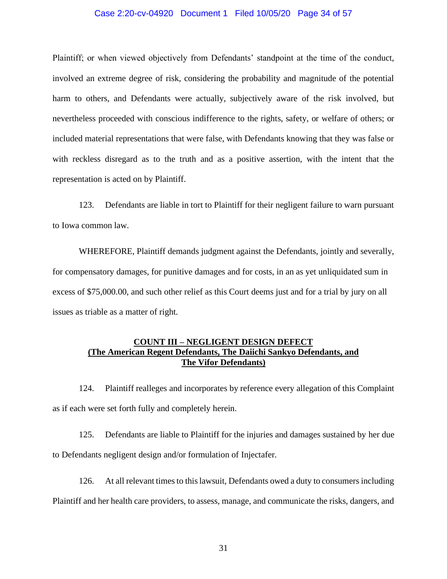#### Case 2:20-cv-04920 Document 1 Filed 10/05/20 Page 34 of 57

Plaintiff; or when viewed objectively from Defendants' standpoint at the time of the conduct, involved an extreme degree of risk, considering the probability and magnitude of the potential harm to others, and Defendants were actually, subjectively aware of the risk involved, but nevertheless proceeded with conscious indifference to the rights, safety, or welfare of others; or included material representations that were false, with Defendants knowing that they was false or with reckless disregard as to the truth and as a positive assertion, with the intent that the representation is acted on by Plaintiff.

123. Defendants are liable in tort to Plaintiff for their negligent failure to warn pursuant to Iowa common law.

WHEREFORE, Plaintiff demands judgment against the Defendants, jointly and severally, for compensatory damages, for punitive damages and for costs, in an as yet unliquidated sum in excess of \$75,000.00, and such other relief as this Court deems just and for a trial by jury on all issues as triable as a matter of right.

# **COUNT III – NEGLIGENT DESIGN DEFECT (The American Regent Defendants, The Daiichi Sankyo Defendants, and The Vifor Defendants)**

124. Plaintiff realleges and incorporates by reference every allegation of this Complaint as if each were set forth fully and completely herein.

125. Defendants are liable to Plaintiff for the injuries and damages sustained by her due to Defendants negligent design and/or formulation of Injectafer.

126. At all relevant times to this lawsuit, Defendants owed a duty to consumers including Plaintiff and her health care providers, to assess, manage, and communicate the risks, dangers, and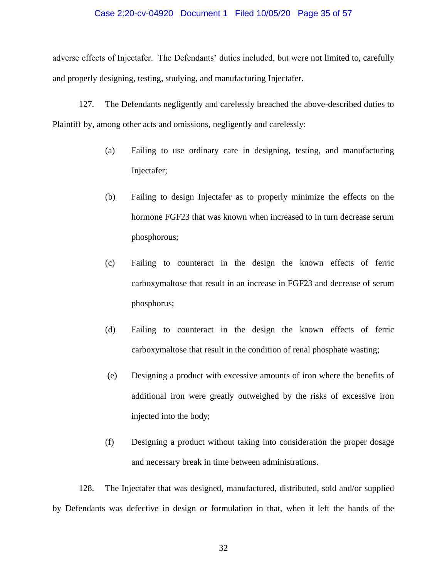#### Case 2:20-cv-04920 Document 1 Filed 10/05/20 Page 35 of 57

adverse effects of Injectafer. The Defendants' duties included, but were not limited to, carefully and properly designing, testing, studying, and manufacturing Injectafer.

127. The Defendants negligently and carelessly breached the above-described duties to Plaintiff by, among other acts and omissions, negligently and carelessly:

- (a) Failing to use ordinary care in designing, testing, and manufacturing Injectafer;
- (b) Failing to design Injectafer as to properly minimize the effects on the hormone FGF23 that was known when increased to in turn decrease serum phosphorous;
- (c) Failing to counteract in the design the known effects of ferric carboxymaltose that result in an increase in FGF23 and decrease of serum phosphorus;
- (d) Failing to counteract in the design the known effects of ferric carboxymaltose that result in the condition of renal phosphate wasting;
- (e) Designing a product with excessive amounts of iron where the benefits of additional iron were greatly outweighed by the risks of excessive iron injected into the body;
- (f) Designing a product without taking into consideration the proper dosage and necessary break in time between administrations.

128. The Injectafer that was designed, manufactured, distributed, sold and/or supplied by Defendants was defective in design or formulation in that, when it left the hands of the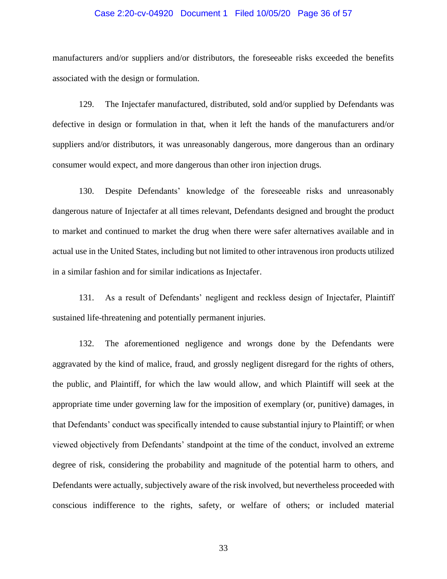#### Case 2:20-cv-04920 Document 1 Filed 10/05/20 Page 36 of 57

manufacturers and/or suppliers and/or distributors, the foreseeable risks exceeded the benefits associated with the design or formulation.

129. The Injectafer manufactured, distributed, sold and/or supplied by Defendants was defective in design or formulation in that, when it left the hands of the manufacturers and/or suppliers and/or distributors, it was unreasonably dangerous, more dangerous than an ordinary consumer would expect, and more dangerous than other iron injection drugs.

130. Despite Defendants' knowledge of the foreseeable risks and unreasonably dangerous nature of Injectafer at all times relevant, Defendants designed and brought the product to market and continued to market the drug when there were safer alternatives available and in actual use in the United States, including but not limited to other intravenous iron products utilized in a similar fashion and for similar indications as Injectafer.

131. As a result of Defendants' negligent and reckless design of Injectafer, Plaintiff sustained life-threatening and potentially permanent injuries.

132. The aforementioned negligence and wrongs done by the Defendants were aggravated by the kind of malice, fraud, and grossly negligent disregard for the rights of others, the public, and Plaintiff, for which the law would allow, and which Plaintiff will seek at the appropriate time under governing law for the imposition of exemplary (or, punitive) damages, in that Defendants' conduct was specifically intended to cause substantial injury to Plaintiff; or when viewed objectively from Defendants' standpoint at the time of the conduct, involved an extreme degree of risk, considering the probability and magnitude of the potential harm to others, and Defendants were actually, subjectively aware of the risk involved, but nevertheless proceeded with conscious indifference to the rights, safety, or welfare of others; or included material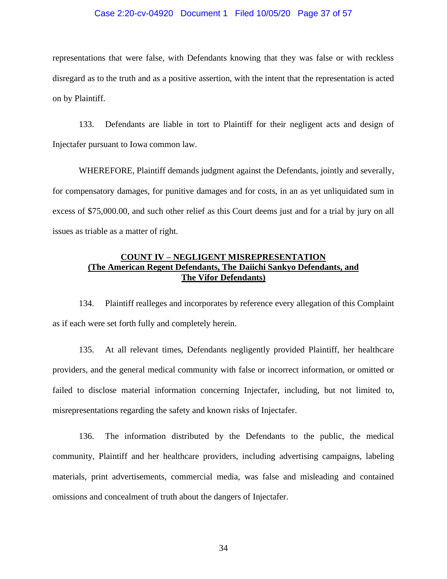#### Case 2:20-cv-04920 Document 1 Filed 10/05/20 Page 37 of 57

representations that were false, with Defendants knowing that they was false or with reckless disregard as to the truth and as a positive assertion, with the intent that the representation is acted on by Plaintiff.

133. Defendants are liable in tort to Plaintiff for their negligent acts and design of Injectafer pursuant to Iowa common law.

WHEREFORE, Plaintiff demands judgment against the Defendants, jointly and severally, for compensatory damages, for punitive damages and for costs, in an as yet unliquidated sum in excess of \$75,000.00, and such other relief as this Court deems just and for a trial by jury on all issues as triable as a matter of right.

# **COUNT IV – NEGLIGENT MISREPRESENTATION (The American Regent Defendants, The Daiichi Sankyo Defendants, and The Vifor Defendants)**

134. Plaintiff realleges and incorporates by reference every allegation of this Complaint as if each were set forth fully and completely herein.

135. At all relevant times, Defendants negligently provided Plaintiff, her healthcare providers, and the general medical community with false or incorrect information, or omitted or failed to disclose material information concerning Injectafer, including, but not limited to, misrepresentations regarding the safety and known risks of Injectafer.

136. The information distributed by the Defendants to the public, the medical community, Plaintiff and her healthcare providers, including advertising campaigns, labeling materials, print advertisements, commercial media, was false and misleading and contained omissions and concealment of truth about the dangers of Injectafer.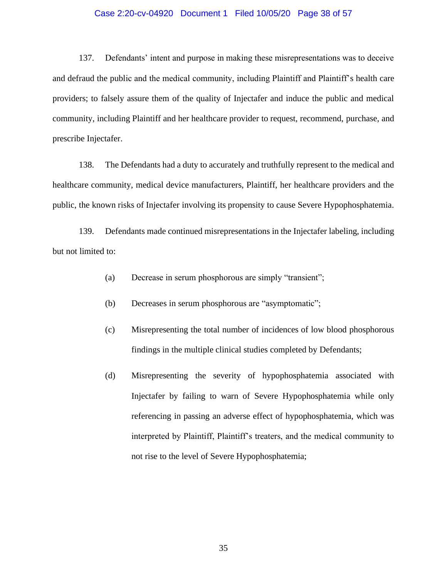#### Case 2:20-cv-04920 Document 1 Filed 10/05/20 Page 38 of 57

137. Defendants' intent and purpose in making these misrepresentations was to deceive and defraud the public and the medical community, including Plaintiff and Plaintiff's health care providers; to falsely assure them of the quality of Injectafer and induce the public and medical community, including Plaintiff and her healthcare provider to request, recommend, purchase, and prescribe Injectafer.

138. The Defendants had a duty to accurately and truthfully represent to the medical and healthcare community, medical device manufacturers, Plaintiff, her healthcare providers and the public, the known risks of Injectafer involving its propensity to cause Severe Hypophosphatemia.

139. Defendants made continued misrepresentations in the Injectafer labeling, including but not limited to:

- (a) Decrease in serum phosphorous are simply "transient";
- (b) Decreases in serum phosphorous are "asymptomatic";
- (c) Misrepresenting the total number of incidences of low blood phosphorous findings in the multiple clinical studies completed by Defendants;
- (d) Misrepresenting the severity of hypophosphatemia associated with Injectafer by failing to warn of Severe Hypophosphatemia while only referencing in passing an adverse effect of hypophosphatemia, which was interpreted by Plaintiff, Plaintiff's treaters, and the medical community to not rise to the level of Severe Hypophosphatemia;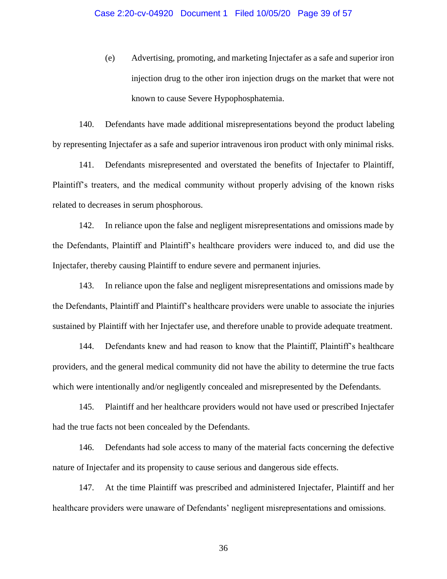(e) Advertising, promoting, and marketing Injectafer as a safe and superior iron injection drug to the other iron injection drugs on the market that were not known to cause Severe Hypophosphatemia.

140. Defendants have made additional misrepresentations beyond the product labeling by representing Injectafer as a safe and superior intravenous iron product with only minimal risks.

141. Defendants misrepresented and overstated the benefits of Injectafer to Plaintiff, Plaintiff's treaters, and the medical community without properly advising of the known risks related to decreases in serum phosphorous.

142. In reliance upon the false and negligent misrepresentations and omissions made by the Defendants, Plaintiff and Plaintiff's healthcare providers were induced to, and did use the Injectafer, thereby causing Plaintiff to endure severe and permanent injuries.

143. In reliance upon the false and negligent misrepresentations and omissions made by the Defendants, Plaintiff and Plaintiff's healthcare providers were unable to associate the injuries sustained by Plaintiff with her Injectafer use, and therefore unable to provide adequate treatment.

144. Defendants knew and had reason to know that the Plaintiff, Plaintiff's healthcare providers, and the general medical community did not have the ability to determine the true facts which were intentionally and/or negligently concealed and misrepresented by the Defendants.

145. Plaintiff and her healthcare providers would not have used or prescribed Injectafer had the true facts not been concealed by the Defendants.

146. Defendants had sole access to many of the material facts concerning the defective nature of Injectafer and its propensity to cause serious and dangerous side effects.

147. At the time Plaintiff was prescribed and administered Injectafer, Plaintiff and her healthcare providers were unaware of Defendants' negligent misrepresentations and omissions.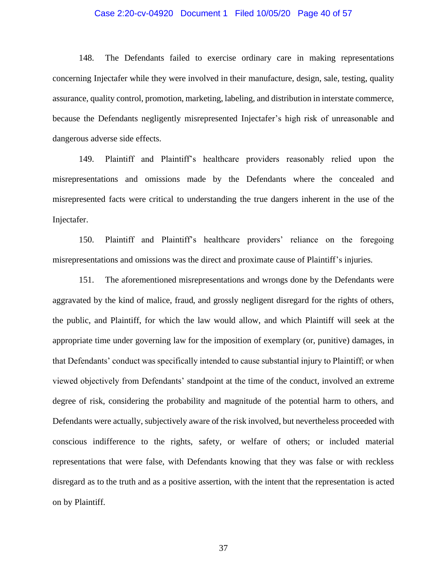#### Case 2:20-cv-04920 Document 1 Filed 10/05/20 Page 40 of 57

148. The Defendants failed to exercise ordinary care in making representations concerning Injectafer while they were involved in their manufacture, design, sale, testing, quality assurance, quality control, promotion, marketing, labeling, and distribution in interstate commerce, because the Defendants negligently misrepresented Injectafer's high risk of unreasonable and dangerous adverse side effects.

149. Plaintiff and Plaintiff's healthcare providers reasonably relied upon the misrepresentations and omissions made by the Defendants where the concealed and misrepresented facts were critical to understanding the true dangers inherent in the use of the Injectafer.

150. Plaintiff and Plaintiff's healthcare providers' reliance on the foregoing misrepresentations and omissions was the direct and proximate cause of Plaintiff's injuries.

151. The aforementioned misrepresentations and wrongs done by the Defendants were aggravated by the kind of malice, fraud, and grossly negligent disregard for the rights of others, the public, and Plaintiff, for which the law would allow, and which Plaintiff will seek at the appropriate time under governing law for the imposition of exemplary (or, punitive) damages, in that Defendants' conduct was specifically intended to cause substantial injury to Plaintiff; or when viewed objectively from Defendants' standpoint at the time of the conduct, involved an extreme degree of risk, considering the probability and magnitude of the potential harm to others, and Defendants were actually, subjectively aware of the risk involved, but nevertheless proceeded with conscious indifference to the rights, safety, or welfare of others; or included material representations that were false, with Defendants knowing that they was false or with reckless disregard as to the truth and as a positive assertion, with the intent that the representation is acted on by Plaintiff.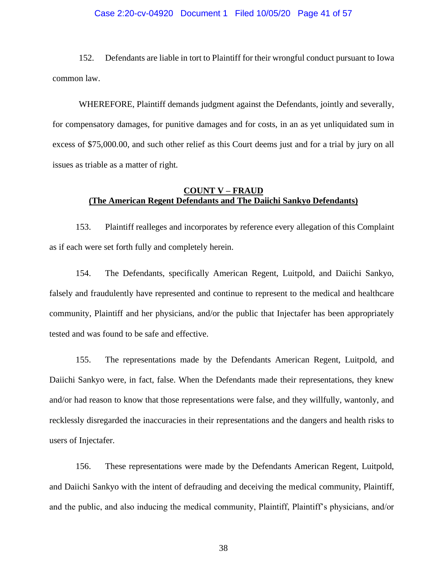#### Case 2:20-cv-04920 Document 1 Filed 10/05/20 Page 41 of 57

152. Defendants are liable in tort to Plaintiff for their wrongful conduct pursuant to Iowa common law.

WHEREFORE, Plaintiff demands judgment against the Defendants, jointly and severally, for compensatory damages, for punitive damages and for costs, in an as yet unliquidated sum in excess of \$75,000.00, and such other relief as this Court deems just and for a trial by jury on all issues as triable as a matter of right.

# **COUNT V – FRAUD (The American Regent Defendants and The Daiichi Sankyo Defendants)**

153. Plaintiff realleges and incorporates by reference every allegation of this Complaint as if each were set forth fully and completely herein.

154. The Defendants, specifically American Regent, Luitpold, and Daiichi Sankyo, falsely and fraudulently have represented and continue to represent to the medical and healthcare community, Plaintiff and her physicians, and/or the public that Injectafer has been appropriately tested and was found to be safe and effective.

155. The representations made by the Defendants American Regent, Luitpold, and Daiichi Sankyo were, in fact, false. When the Defendants made their representations, they knew and/or had reason to know that those representations were false, and they willfully, wantonly, and recklessly disregarded the inaccuracies in their representations and the dangers and health risks to users of Injectafer.

156. These representations were made by the Defendants American Regent, Luitpold, and Daiichi Sankyo with the intent of defrauding and deceiving the medical community, Plaintiff, and the public, and also inducing the medical community, Plaintiff, Plaintiff's physicians, and/or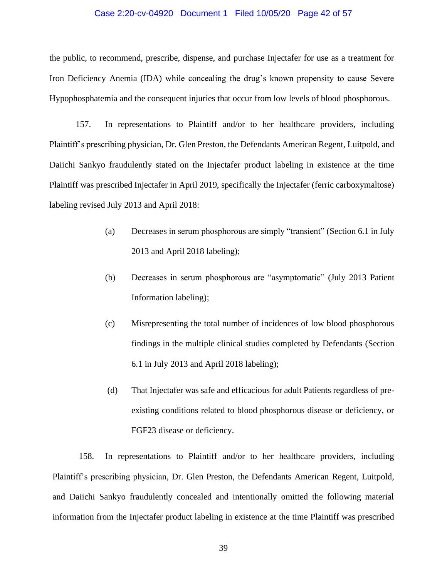#### Case 2:20-cv-04920 Document 1 Filed 10/05/20 Page 42 of 57

the public, to recommend, prescribe, dispense, and purchase Injectafer for use as a treatment for Iron Deficiency Anemia (IDA) while concealing the drug's known propensity to cause Severe Hypophosphatemia and the consequent injuries that occur from low levels of blood phosphorous.

157. In representations to Plaintiff and/or to her healthcare providers, including Plaintiff's prescribing physician, Dr. Glen Preston, the Defendants American Regent, Luitpold, and Daiichi Sankyo fraudulently stated on the Injectafer product labeling in existence at the time Plaintiff was prescribed Injectafer in April 2019, specifically the Injectafer (ferric carboxymaltose) labeling revised July 2013 and April 2018:

- (a) Decreases in serum phosphorous are simply "transient" (Section 6.1 in July 2013 and April 2018 labeling);
- (b) Decreases in serum phosphorous are "asymptomatic" (July 2013 Patient Information labeling);
- (c) Misrepresenting the total number of incidences of low blood phosphorous findings in the multiple clinical studies completed by Defendants (Section 6.1 in July 2013 and April 2018 labeling);
- (d) That Injectafer was safe and efficacious for adult Patients regardless of preexisting conditions related to blood phosphorous disease or deficiency, or FGF23 disease or deficiency.

158. In representations to Plaintiff and/or to her healthcare providers, including Plaintiff's prescribing physician, Dr. Glen Preston, the Defendants American Regent, Luitpold, and Daiichi Sankyo fraudulently concealed and intentionally omitted the following material information from the Injectafer product labeling in existence at the time Plaintiff was prescribed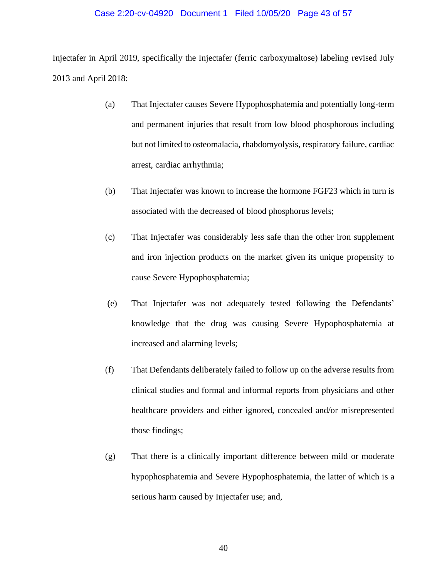#### Case 2:20-cv-04920 Document 1 Filed 10/05/20 Page 43 of 57

Injectafer in April 2019, specifically the Injectafer (ferric carboxymaltose) labeling revised July 2013 and April 2018:

- (a) That Injectafer causes Severe Hypophosphatemia and potentially long-term and permanent injuries that result from low blood phosphorous including but not limited to osteomalacia, rhabdomyolysis, respiratory failure, cardiac arrest, cardiac arrhythmia;
- (b) That Injectafer was known to increase the hormone FGF23 which in turn is associated with the decreased of blood phosphorus levels;
- (c) That Injectafer was considerably less safe than the other iron supplement and iron injection products on the market given its unique propensity to cause Severe Hypophosphatemia;
- (e) That Injectafer was not adequately tested following the Defendants' knowledge that the drug was causing Severe Hypophosphatemia at increased and alarming levels;
- (f) That Defendants deliberately failed to follow up on the adverse results from clinical studies and formal and informal reports from physicians and other healthcare providers and either ignored, concealed and/or misrepresented those findings;
- (g) That there is a clinically important difference between mild or moderate hypophosphatemia and Severe Hypophosphatemia, the latter of which is a serious harm caused by Injectafer use; and,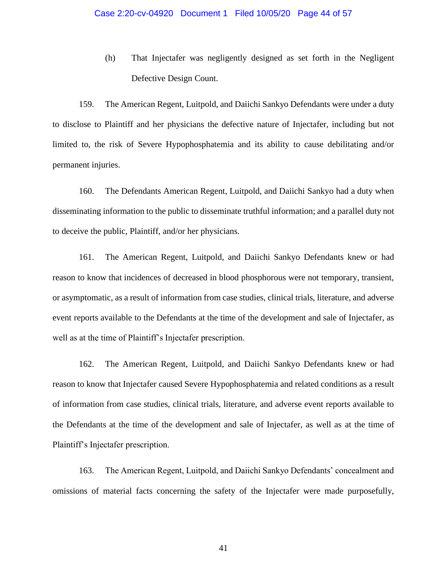(h) That Injectafer was negligently designed as set forth in the Negligent Defective Design Count.

159. The American Regent, Luitpold, and Daiichi Sankyo Defendants were under a duty to disclose to Plaintiff and her physicians the defective nature of Injectafer, including but not limited to, the risk of Severe Hypophosphatemia and its ability to cause debilitating and/or permanent injuries.

160. The Defendants American Regent, Luitpold, and Daiichi Sankyo had a duty when disseminating information to the public to disseminate truthful information; and a parallel duty not to deceive the public, Plaintiff, and/or her physicians.

161. The American Regent, Luitpold, and Daiichi Sankyo Defendants knew or had reason to know that incidences of decreased in blood phosphorous were not temporary, transient, or asymptomatic, as a result of information from case studies, clinical trials, literature, and adverse event reports available to the Defendants at the time of the development and sale of Injectafer, as well as at the time of Plaintiff's Injectafer prescription.

162. The American Regent, Luitpold, and Daiichi Sankyo Defendants knew or had reason to know that Injectafer caused Severe Hypophosphatemia and related conditions as a result of information from case studies, clinical trials, literature, and adverse event reports available to the Defendants at the time of the development and sale of Injectafer, as well as at the time of Plaintiff's Injectafer prescription.

163. The American Regent, Luitpold, and Daiichi Sankyo Defendants' concealment and omissions of material facts concerning the safety of the Injectafer were made purposefully,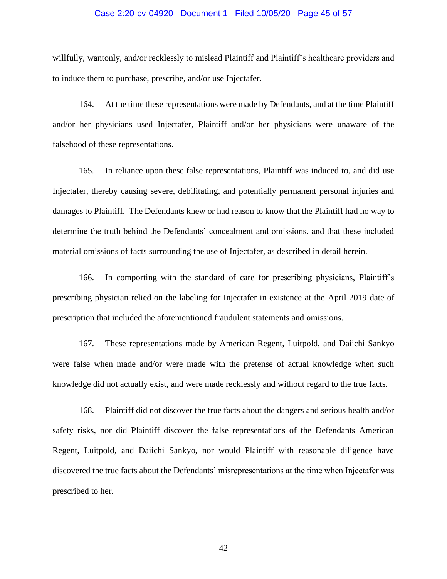#### Case 2:20-cv-04920 Document 1 Filed 10/05/20 Page 45 of 57

willfully, wantonly, and/or recklessly to mislead Plaintiff and Plaintiff's healthcare providers and to induce them to purchase, prescribe, and/or use Injectafer.

164. At the time these representations were made by Defendants, and at the time Plaintiff and/or her physicians used Injectafer, Plaintiff and/or her physicians were unaware of the falsehood of these representations.

165. In reliance upon these false representations, Plaintiff was induced to, and did use Injectafer, thereby causing severe, debilitating, and potentially permanent personal injuries and damages to Plaintiff. The Defendants knew or had reason to know that the Plaintiff had no way to determine the truth behind the Defendants' concealment and omissions, and that these included material omissions of facts surrounding the use of Injectafer, as described in detail herein.

166. In comporting with the standard of care for prescribing physicians, Plaintiff's prescribing physician relied on the labeling for Injectafer in existence at the April 2019 date of prescription that included the aforementioned fraudulent statements and omissions.

167. These representations made by American Regent, Luitpold, and Daiichi Sankyo were false when made and/or were made with the pretense of actual knowledge when such knowledge did not actually exist, and were made recklessly and without regard to the true facts.

168. Plaintiff did not discover the true facts about the dangers and serious health and/or safety risks, nor did Plaintiff discover the false representations of the Defendants American Regent, Luitpold, and Daiichi Sankyo, nor would Plaintiff with reasonable diligence have discovered the true facts about the Defendants' misrepresentations at the time when Injectafer was prescribed to her.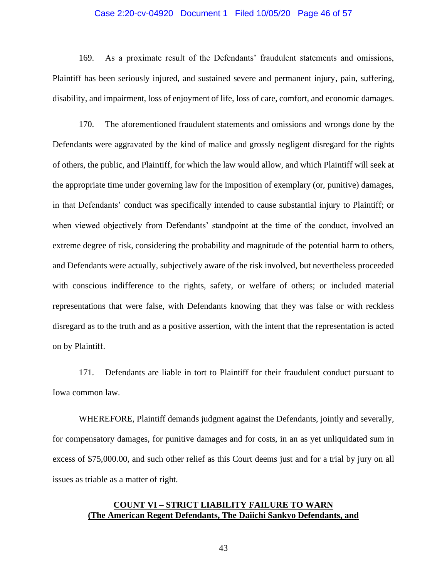#### Case 2:20-cv-04920 Document 1 Filed 10/05/20 Page 46 of 57

169. As a proximate result of the Defendants' fraudulent statements and omissions, Plaintiff has been seriously injured, and sustained severe and permanent injury, pain, suffering, disability, and impairment, loss of enjoyment of life, loss of care, comfort, and economic damages.

170. The aforementioned fraudulent statements and omissions and wrongs done by the Defendants were aggravated by the kind of malice and grossly negligent disregard for the rights of others, the public, and Plaintiff, for which the law would allow, and which Plaintiff will seek at the appropriate time under governing law for the imposition of exemplary (or, punitive) damages, in that Defendants' conduct was specifically intended to cause substantial injury to Plaintiff; or when viewed objectively from Defendants' standpoint at the time of the conduct, involved an extreme degree of risk, considering the probability and magnitude of the potential harm to others, and Defendants were actually, subjectively aware of the risk involved, but nevertheless proceeded with conscious indifference to the rights, safety, or welfare of others; or included material representations that were false, with Defendants knowing that they was false or with reckless disregard as to the truth and as a positive assertion, with the intent that the representation is acted on by Plaintiff.

171. Defendants are liable in tort to Plaintiff for their fraudulent conduct pursuant to Iowa common law.

WHEREFORE, Plaintiff demands judgment against the Defendants, jointly and severally, for compensatory damages, for punitive damages and for costs, in an as yet unliquidated sum in excess of \$75,000.00, and such other relief as this Court deems just and for a trial by jury on all issues as triable as a matter of right.

# **COUNT VI – STRICT LIABILITY FAILURE TO WARN (The American Regent Defendants, The Daiichi Sankyo Defendants, and**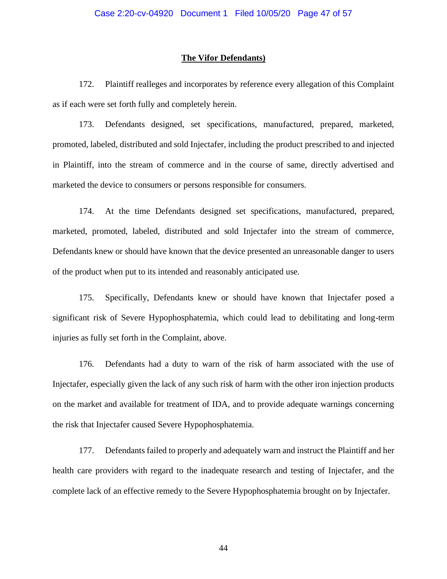#### **The Vifor Defendants)**

172. Plaintiff realleges and incorporates by reference every allegation of this Complaint as if each were set forth fully and completely herein.

173. Defendants designed, set specifications, manufactured, prepared, marketed, promoted, labeled, distributed and sold Injectafer, including the product prescribed to and injected in Plaintiff, into the stream of commerce and in the course of same, directly advertised and marketed the device to consumers or persons responsible for consumers.

174. At the time Defendants designed set specifications, manufactured, prepared, marketed, promoted, labeled, distributed and sold Injectafer into the stream of commerce, Defendants knew or should have known that the device presented an unreasonable danger to users of the product when put to its intended and reasonably anticipated use.

175. Specifically, Defendants knew or should have known that Injectafer posed a significant risk of Severe Hypophosphatemia, which could lead to debilitating and long-term injuries as fully set forth in the Complaint, above.

176. Defendants had a duty to warn of the risk of harm associated with the use of Injectafer, especially given the lack of any such risk of harm with the other iron injection products on the market and available for treatment of IDA, and to provide adequate warnings concerning the risk that Injectafer caused Severe Hypophosphatemia.

177. Defendants failed to properly and adequately warn and instruct the Plaintiff and her health care providers with regard to the inadequate research and testing of Injectafer, and the complete lack of an effective remedy to the Severe Hypophosphatemia brought on by Injectafer.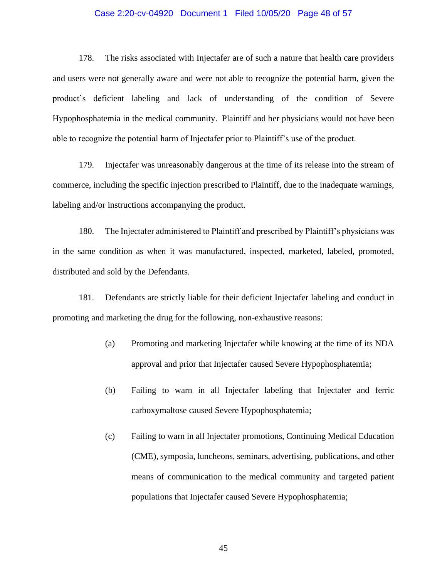#### Case 2:20-cv-04920 Document 1 Filed 10/05/20 Page 48 of 57

178. The risks associated with Injectafer are of such a nature that health care providers and users were not generally aware and were not able to recognize the potential harm, given the product's deficient labeling and lack of understanding of the condition of Severe Hypophosphatemia in the medical community. Plaintiff and her physicians would not have been able to recognize the potential harm of Injectafer prior to Plaintiff's use of the product.

179. Injectafer was unreasonably dangerous at the time of its release into the stream of commerce, including the specific injection prescribed to Plaintiff, due to the inadequate warnings, labeling and/or instructions accompanying the product.

180. The Injectafer administered to Plaintiff and prescribed by Plaintiff's physicians was in the same condition as when it was manufactured, inspected, marketed, labeled, promoted, distributed and sold by the Defendants.

181. Defendants are strictly liable for their deficient Injectafer labeling and conduct in promoting and marketing the drug for the following, non-exhaustive reasons:

- (a) Promoting and marketing Injectafer while knowing at the time of its NDA approval and prior that Injectafer caused Severe Hypophosphatemia;
- (b) Failing to warn in all Injectafer labeling that Injectafer and ferric carboxymaltose caused Severe Hypophosphatemia;
- (c) Failing to warn in all Injectafer promotions, Continuing Medical Education (CME), symposia, luncheons, seminars, advertising, publications, and other means of communication to the medical community and targeted patient populations that Injectafer caused Severe Hypophosphatemia;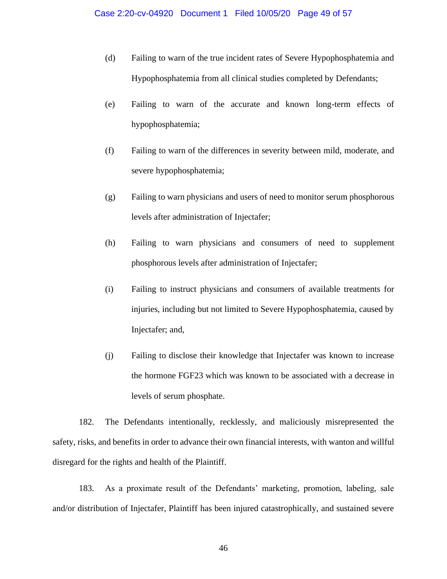- (d) Failing to warn of the true incident rates of Severe Hypophosphatemia and Hypophosphatemia from all clinical studies completed by Defendants;
- (e) Failing to warn of the accurate and known long-term effects of hypophosphatemia;
- (f) Failing to warn of the differences in severity between mild, moderate, and severe hypophosphatemia;
- (g) Failing to warn physicians and users of need to monitor serum phosphorous levels after administration of Injectafer;
- (h) Failing to warn physicians and consumers of need to supplement phosphorous levels after administration of Injectafer;
- (i) Failing to instruct physicians and consumers of available treatments for injuries, including but not limited to Severe Hypophosphatemia, caused by Injectafer; and,
- (j) Failing to disclose their knowledge that Injectafer was known to increase the hormone FGF23 which was known to be associated with a decrease in levels of serum phosphate.

182. The Defendants intentionally, recklessly, and maliciously misrepresented the safety, risks, and benefits in order to advance their own financial interests, with wanton and willful disregard for the rights and health of the Plaintiff.

183. As a proximate result of the Defendants' marketing, promotion, labeling, sale and/or distribution of Injectafer, Plaintiff has been injured catastrophically, and sustained severe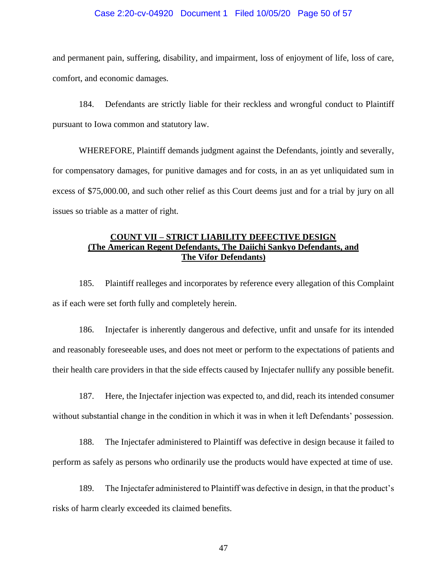#### Case 2:20-cv-04920 Document 1 Filed 10/05/20 Page 50 of 57

and permanent pain, suffering, disability, and impairment, loss of enjoyment of life, loss of care, comfort, and economic damages.

184. Defendants are strictly liable for their reckless and wrongful conduct to Plaintiff pursuant to Iowa common and statutory law.

WHEREFORE, Plaintiff demands judgment against the Defendants, jointly and severally, for compensatory damages, for punitive damages and for costs, in an as yet unliquidated sum in excess of \$75,000.00, and such other relief as this Court deems just and for a trial by jury on all issues so triable as a matter of right.

# **COUNT VII – STRICT LIABILITY DEFECTIVE DESIGN (The American Regent Defendants, The Daiichi Sankyo Defendants, and The Vifor Defendants)**

185. Plaintiff realleges and incorporates by reference every allegation of this Complaint as if each were set forth fully and completely herein.

186. Injectafer is inherently dangerous and defective, unfit and unsafe for its intended and reasonably foreseeable uses, and does not meet or perform to the expectations of patients and their health care providers in that the side effects caused by Injectafer nullify any possible benefit.

187. Here, the Injectafer injection was expected to, and did, reach its intended consumer without substantial change in the condition in which it was in when it left Defendants' possession.

188. The Injectafer administered to Plaintiff was defective in design because it failed to perform as safely as persons who ordinarily use the products would have expected at time of use.

189. The Injectafer administered to Plaintiff was defective in design, in that the product's risks of harm clearly exceeded its claimed benefits.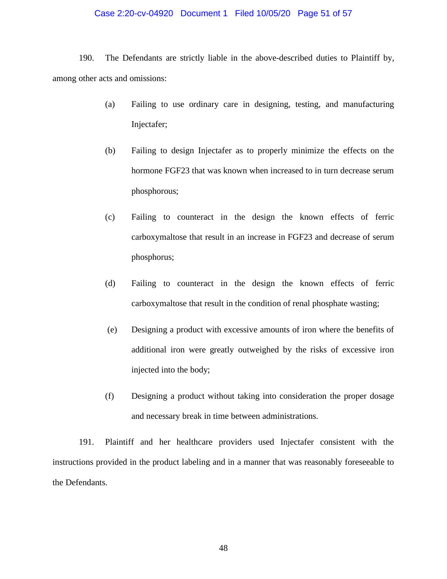#### Case 2:20-cv-04920 Document 1 Filed 10/05/20 Page 51 of 57

190. The Defendants are strictly liable in the above-described duties to Plaintiff by, among other acts and omissions:

- (a) Failing to use ordinary care in designing, testing, and manufacturing Injectafer;
- (b) Failing to design Injectafer as to properly minimize the effects on the hormone FGF23 that was known when increased to in turn decrease serum phosphorous;
- (c) Failing to counteract in the design the known effects of ferric carboxymaltose that result in an increase in FGF23 and decrease of serum phosphorus;
- (d) Failing to counteract in the design the known effects of ferric carboxymaltose that result in the condition of renal phosphate wasting;
- (e) Designing a product with excessive amounts of iron where the benefits of additional iron were greatly outweighed by the risks of excessive iron injected into the body;
- (f) Designing a product without taking into consideration the proper dosage and necessary break in time between administrations.

191. Plaintiff and her healthcare providers used Injectafer consistent with the instructions provided in the product labeling and in a manner that was reasonably foreseeable to the Defendants.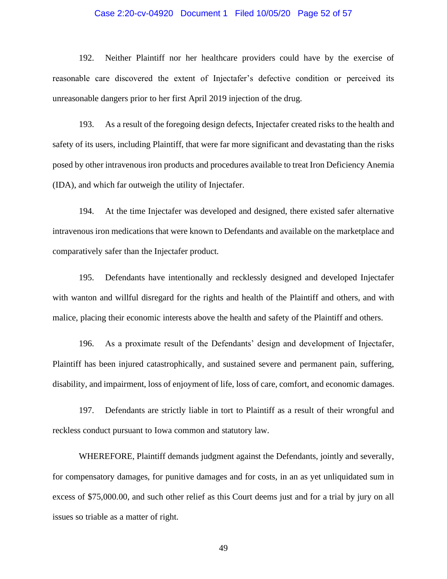#### Case 2:20-cv-04920 Document 1 Filed 10/05/20 Page 52 of 57

192. Neither Plaintiff nor her healthcare providers could have by the exercise of reasonable care discovered the extent of Injectafer's defective condition or perceived its unreasonable dangers prior to her first April 2019 injection of the drug.

193. As a result of the foregoing design defects, Injectafer created risks to the health and safety of its users, including Plaintiff, that were far more significant and devastating than the risks posed by other intravenous iron products and procedures available to treat Iron Deficiency Anemia (IDA), and which far outweigh the utility of Injectafer.

194. At the time Injectafer was developed and designed, there existed safer alternative intravenous iron medications that were known to Defendants and available on the marketplace and comparatively safer than the Injectafer product.

195. Defendants have intentionally and recklessly designed and developed Injectafer with wanton and willful disregard for the rights and health of the Plaintiff and others, and with malice, placing their economic interests above the health and safety of the Plaintiff and others.

196. As a proximate result of the Defendants' design and development of Injectafer, Plaintiff has been injured catastrophically, and sustained severe and permanent pain, suffering, disability, and impairment, loss of enjoyment of life, loss of care, comfort, and economic damages.

197. Defendants are strictly liable in tort to Plaintiff as a result of their wrongful and reckless conduct pursuant to Iowa common and statutory law.

WHEREFORE, Plaintiff demands judgment against the Defendants, jointly and severally, for compensatory damages, for punitive damages and for costs, in an as yet unliquidated sum in excess of \$75,000.00, and such other relief as this Court deems just and for a trial by jury on all issues so triable as a matter of right.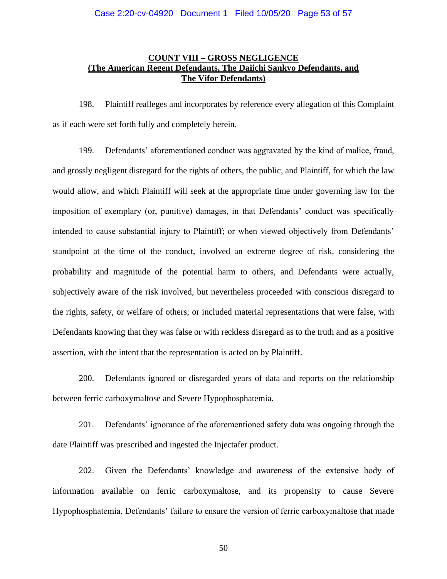# **COUNT VIII – GROSS NEGLIGENCE (The American Regent Defendants, The Daiichi Sankyo Defendants, and The Vifor Defendants)**

198. Plaintiff realleges and incorporates by reference every allegation of this Complaint as if each were set forth fully and completely herein.

199. Defendants' aforementioned conduct was aggravated by the kind of malice, fraud, and grossly negligent disregard for the rights of others, the public, and Plaintiff, for which the law would allow, and which Plaintiff will seek at the appropriate time under governing law for the imposition of exemplary (or, punitive) damages, in that Defendants' conduct was specifically intended to cause substantial injury to Plaintiff; or when viewed objectively from Defendants' standpoint at the time of the conduct, involved an extreme degree of risk, considering the probability and magnitude of the potential harm to others, and Defendants were actually, subjectively aware of the risk involved, but nevertheless proceeded with conscious disregard to the rights, safety, or welfare of others; or included material representations that were false, with Defendants knowing that they was false or with reckless disregard as to the truth and as a positive assertion, with the intent that the representation is acted on by Plaintiff.

200. Defendants ignored or disregarded years of data and reports on the relationship between ferric carboxymaltose and Severe Hypophosphatemia.

201. Defendants' ignorance of the aforementioned safety data was ongoing through the date Plaintiff was prescribed and ingested the Injectafer product.

202. Given the Defendants' knowledge and awareness of the extensive body of information available on ferric carboxymaltose, and its propensity to cause Severe Hypophosphatemia, Defendants' failure to ensure the version of ferric carboxymaltose that made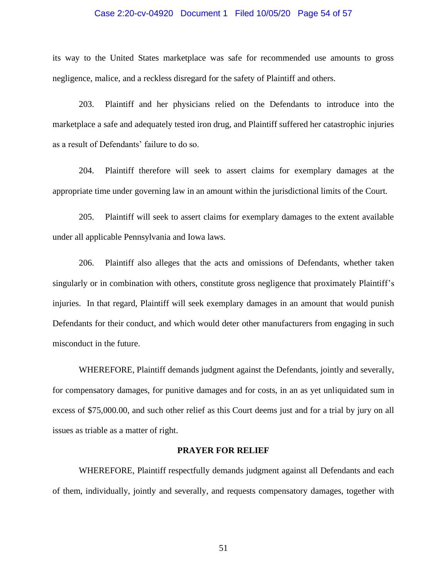#### Case 2:20-cv-04920 Document 1 Filed 10/05/20 Page 54 of 57

its way to the United States marketplace was safe for recommended use amounts to gross negligence, malice, and a reckless disregard for the safety of Plaintiff and others.

203. Plaintiff and her physicians relied on the Defendants to introduce into the marketplace a safe and adequately tested iron drug, and Plaintiff suffered her catastrophic injuries as a result of Defendants' failure to do so.

204. Plaintiff therefore will seek to assert claims for exemplary damages at the appropriate time under governing law in an amount within the jurisdictional limits of the Court.

205. Plaintiff will seek to assert claims for exemplary damages to the extent available under all applicable Pennsylvania and Iowa laws.

206. Plaintiff also alleges that the acts and omissions of Defendants, whether taken singularly or in combination with others, constitute gross negligence that proximately Plaintiff's injuries. In that regard, Plaintiff will seek exemplary damages in an amount that would punish Defendants for their conduct, and which would deter other manufacturers from engaging in such misconduct in the future.

WHEREFORE, Plaintiff demands judgment against the Defendants, jointly and severally, for compensatory damages, for punitive damages and for costs, in an as yet unliquidated sum in excess of \$75,000.00, and such other relief as this Court deems just and for a trial by jury on all issues as triable as a matter of right.

### **PRAYER FOR RELIEF**

WHEREFORE, Plaintiff respectfully demands judgment against all Defendants and each of them, individually, jointly and severally, and requests compensatory damages, together with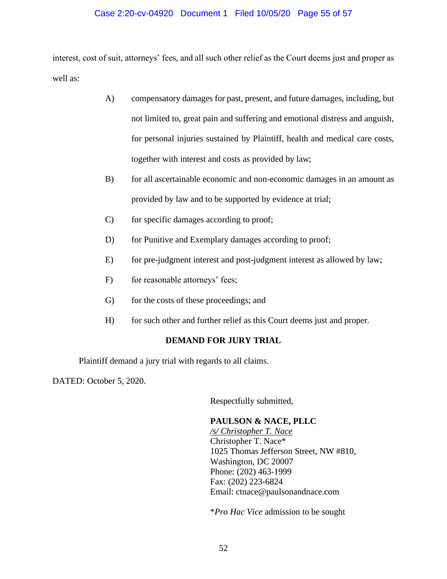### Case 2:20-cv-04920 Document 1 Filed 10/05/20 Page 55 of 57

interest, cost of suit, attorneys' fees, and all such other relief as the Court deems just and proper as well as:

- A) compensatory damages for past, present, and future damages, including, but not limited to, great pain and suffering and emotional distress and anguish, for personal injuries sustained by Plaintiff, health and medical care costs, together with interest and costs as provided by law;
- B) for all ascertainable economic and non-economic damages in an amount as provided by law and to be supported by evidence at trial;
- C) for specific damages according to proof;
- D) for Punitive and Exemplary damages according to proof;
- E) for pre-judgment interest and post-judgment interest as allowed by law;
- F) for reasonable attorneys' fees;
- G) for the costs of these proceedings; and
- H) for such other and further relief as this Court deems just and proper.

### **DEMAND FOR JURY TRIAL**

Plaintiff demand a jury trial with regards to all claims.

DATED: October 5, 2020.

Respectfully submitted,

### **PAULSON & NACE, PLLC**

*/s/ Christopher T. Nace* Christopher T. Nace\* 1025 Thomas Jefferson Street, NW #810, Washington, DC 20007 Phone: (202) 463-1999 Fax: (202) 223-6824 Email: ctnace@paulsonandnace.com

\**Pro Hac Vice* admission to be sought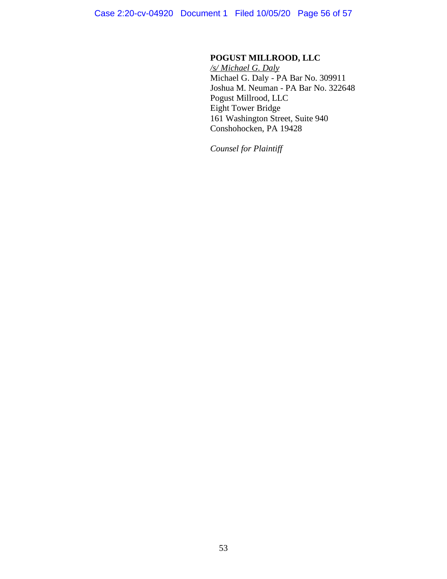# **POGUST MILLROOD, LLC**

*/s/ Michael G. Daly* Michael G. Daly - PA Bar No. 309911 Joshua M. Neuman - PA Bar No. 322648 Pogust Millrood, LLC Eight Tower Bridge 161 Washington Street, Suite 940 Conshohocken, PA 19428

*Counsel for Plaintiff*